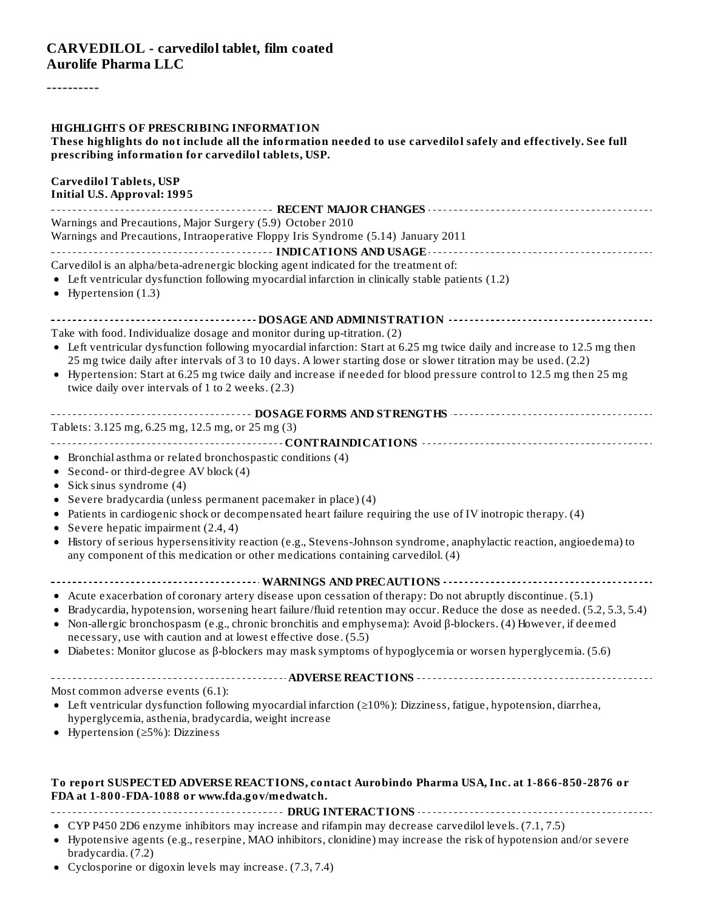----------

| <b>HIGHLIGHTS OF PRESCRIBING INFORMATION</b><br>These highlights do not include all the information needed to use carvedilol safely and effectively. See full<br>prescribing information for carvedilol tablets, USP.                                                                                                                                                                                                                                                                                                                                                          |
|--------------------------------------------------------------------------------------------------------------------------------------------------------------------------------------------------------------------------------------------------------------------------------------------------------------------------------------------------------------------------------------------------------------------------------------------------------------------------------------------------------------------------------------------------------------------------------|
| <b>Carvedilol Tablets, USP</b><br><b>Initial U.S. Approval: 1995</b>                                                                                                                                                                                                                                                                                                                                                                                                                                                                                                           |
| Warnings and Precautions, Major Surgery (5.9) October 2010<br>Warnings and Precautions, Intraoperative Floppy Iris Syndrome (5.14) January 2011                                                                                                                                                                                                                                                                                                                                                                                                                                |
| Carvedilol is an alpha/beta-adrenergic blocking agent indicated for the treatment of:<br>$\bullet$ Left ventricular dysfunction following myocardial infarction in clinically stable patients (1.2)<br>• Hypertension $(1.3)$                                                                                                                                                                                                                                                                                                                                                  |
|                                                                                                                                                                                                                                                                                                                                                                                                                                                                                                                                                                                |
| Take with food. Individualize dosage and monitor during up-titration. (2)<br>• Left ventricular dysfunction following myocardial infarction: Start at 6.25 mg twice daily and increase to 12.5 mg then<br>25 mg twice daily after intervals of 3 to 10 days. A lower starting dose or slower titration may be used. (2.2)<br>• Hypertension: Start at 6.25 mg twice daily and increase if needed for blood pressure control to 12.5 mg then 25 mg<br>twice daily over intervals of 1 to 2 weeks. (2.3)                                                                         |
| Tablets: 3.125 mg, 6.25 mg, 12.5 mg, or 25 mg (3)                                                                                                                                                                                                                                                                                                                                                                                                                                                                                                                              |
| • Bronchial asthma or related bronchospastic conditions (4)<br>• Second- or third-degree AV block (4)<br>• Sick sinus syndrome $(4)$<br>• Severe bradycardia (unless permanent pacemaker in place) (4)<br>• Patients in cardiogenic shock or decompensated heart failure requiring the use of IV inotropic therapy. (4)<br>• Severe hepatic impairment $(2.4, 4)$<br>• History of serious hypersensitivity reaction (e.g., Stevens-Johnson syndrome, anaphylactic reaction, angioedema) to<br>any component of this medication or other medications containing carvedilol. (4) |
| • Acute exacerbation of coronary artery disease upon cessation of therapy: Do not abruptly discontinue. (5.1)<br>• Bradycardia, hypotension, worsening heart failure/fluid retention may occur. Reduce the dose as needed. (5.2, 5.3, 5.4)<br>• Non-allergic bronchospasm (e.g., chronic bronchitis and emphysema): Avoid $\beta$ -blockers. (4) However, if deemed<br>necessary, use with caution and at lowest effective dose. (5.5)<br>• Diabetes: Monitor glucose as $\beta$ -blockers may mask symptoms of hypoglycemia or worsen hyperglycemia. (5.6)                    |
| Most common adverse events (6.1):                                                                                                                                                                                                                                                                                                                                                                                                                                                                                                                                              |
| • Left ventricular dysfunction following myocardial infarction ( $\geq$ 10%): Dizziness, fatigue, hypotension, diarrhea,<br>hyperglycemia, asthenia, bradycardia, weight increase<br>• Hypertension ( $\geq$ 5%): Dizziness                                                                                                                                                                                                                                                                                                                                                    |
| To report SUSPECTED ADVERSE REACTIONS, contact Aurobindo Pharma USA, Inc. at 1-866-850-2876 or<br>FDA at 1-800-FDA-1088 or www.fda.gov/medwatch.                                                                                                                                                                                                                                                                                                                                                                                                                               |
| • CYP P450 2D6 enzyme inhibitors may increase and rifampin may decrease carvedilol levels. (7.1, 7.5)<br>• Hypotensive agents (e.g., reserpine, MAO inhibitors, clonidine) may increase the risk of hypotension and/or severe                                                                                                                                                                                                                                                                                                                                                  |

- Hypotensive agents (e.g., reserpine, MAO inhibitors, clonidine) may increase the risk of hypotension and/or severe bradycardia. (7.2)
- Cyclosporine or digoxin levels may increase. (7.3, 7.4)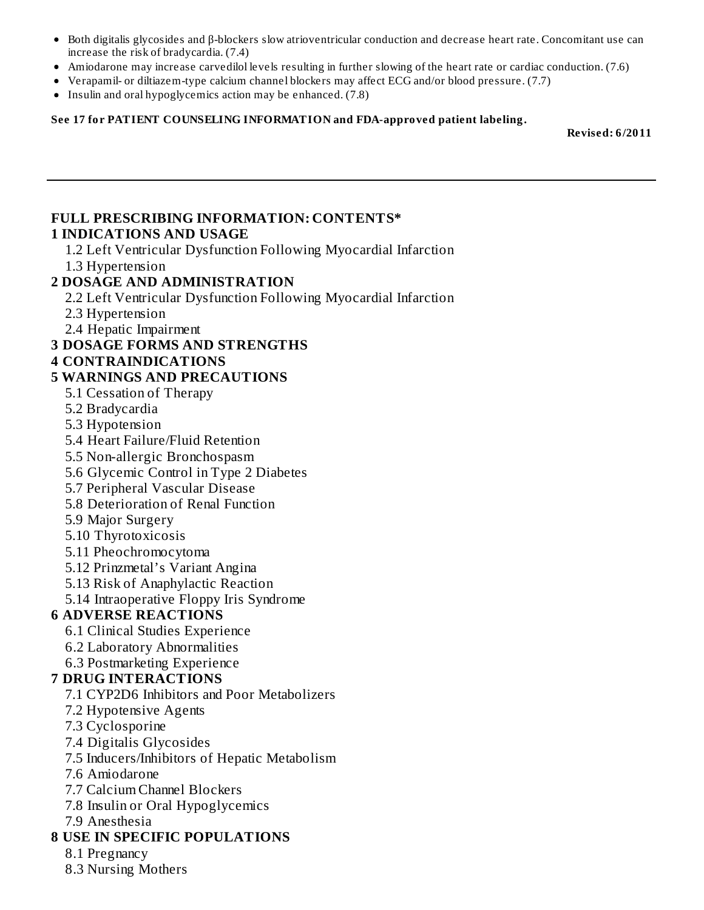- Both digitalis glycosides and β-blockers slow atrioventricular conduction and decrease heart rate. Concomitant use can increase the risk of bradycardia. (7.4)
- Amiodarone may increase carvedilol levels resulting in further slowing of the heart rate or cardiac conduction. (7.6)
- Verapamil- or diltiazem-type calcium channel blockers may affect ECG and/or blood pressure. (7.7)
- Insulin and oral hypoglycemics action may be enhanced. (7.8)

#### **See 17 for PATIENT COUNSELING INFORMATION and FDA-approved patient labeling.**

**Revised: 6/2011**

#### **FULL PRESCRIBING INFORMATION: CONTENTS\* 1 INDICATIONS AND USAGE**

- 1.2 Left Ventricular Dysfunction Following Myocardial Infarction
- 1.3 Hypertension

#### **2 DOSAGE AND ADMINISTRATION**

2.2 Left Ventricular Dysfunction Following Myocardial Infarction

- 2.3 Hypertension
- 2.4 Hepatic Impairment
- **3 DOSAGE FORMS AND STRENGTHS**

#### **4 CONTRAINDICATIONS**

#### **5 WARNINGS AND PRECAUTIONS**

- 5.1 Cessation of Therapy
- 5.2 Bradycardia
- 5.3 Hypotension
- 5.4 Heart Failure/Fluid Retention
- 5.5 Non-allergic Bronchospasm
- 5.6 Glycemic Control in Type 2 Diabetes
- 5.7 Peripheral Vascular Disease
- 5.8 Deterioration of Renal Function
- 5.9 Major Surgery
- 5.10 Thyrotoxicosis
- 5.11 Pheochromocytoma
- 5.12 Prinzmetal's Variant Angina
- 5.13 Risk of Anaphylactic Reaction
- 5.14 Intraoperative Floppy Iris Syndrome

#### **6 ADVERSE REACTIONS**

- 6.1 Clinical Studies Experience
- 6.2 Laboratory Abnormalities
- 6.3 Postmarketing Experience

## **7 DRUG INTERACTIONS**

- 7.1 CYP2D6 Inhibitors and Poor Metabolizers
- 7.2 Hypotensive Agents
- 7.3 Cyclosporine
- 7.4 Digitalis Glycosides
- 7.5 Inducers/Inhibitors of Hepatic Metabolism
- 7.6 Amiodarone
- 7.7 Calcium Channel Blockers
- 7.8 Insulin or Oral Hypoglycemics
- 7.9 Anesthesia

## **8 USE IN SPECIFIC POPULATIONS**

- 8.1 Pregnancy
- 8.3 Nursing Mothers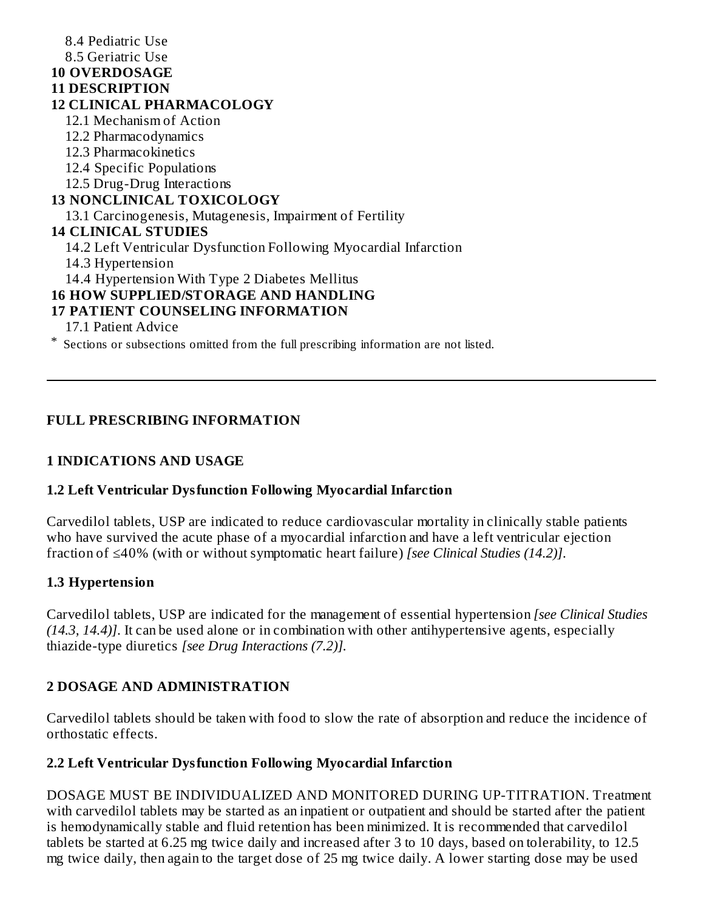8.4 Pediatric Use 8.5 Geriatric Use **10 OVERDOSAGE 11 DESCRIPTION 12 CLINICAL PHARMACOLOGY** 12.1 Mechanism of Action 12.2 Pharmacodynamics 12.3 Pharmacokinetics 12.4 Specific Populations 12.5 Drug-Drug Interactions **13 NONCLINICAL TOXICOLOGY** 13.1 Carcinogenesis, Mutagenesis, Impairment of Fertility **14 CLINICAL STUDIES** 14.2 Left Ventricular Dysfunction Following Myocardial Infarction 14.3 Hypertension 14.4 Hypertension With Type 2 Diabetes Mellitus **16 HOW SUPPLIED/STORAGE AND HANDLING 17 PATIENT COUNSELING INFORMATION** 17.1 Patient Advice

\* Sections or subsections omitted from the full prescribing information are not listed.

## **FULL PRESCRIBING INFORMATION**

#### **1 INDICATIONS AND USAGE**

#### **1.2 Left Ventricular Dysfunction Following Myocardial Infarction**

Carvedilol tablets, USP are indicated to reduce cardiovascular mortality in clinically stable patients who have survived the acute phase of a myocardial infarction and have a left ventricular ejection fraction of ≤40% (with or without symptomatic heart failure) *[see Clinical Studies (14.2)]*.

#### **1.3 Hypertension**

Carvedilol tablets, USP are indicated for the management of essential hypertension *[see Clinical Studies (14.3, 14.4)]*. It can be used alone or in combination with other antihypertensive agents, especially thiazide-type diuretics *[see Drug Interactions (7.2)].*

#### **2 DOSAGE AND ADMINISTRATION**

Carvedilol tablets should be taken with food to slow the rate of absorption and reduce the incidence of orthostatic effects.

#### **2.2 Left Ventricular Dysfunction Following Myocardial Infarction**

DOSAGE MUST BE INDIVIDUALIZED AND MONITORED DURING UP-TITRATION. Treatment with carvedilol tablets may be started as an inpatient or outpatient and should be started after the patient is hemodynamically stable and fluid retention has been minimized. It is recommended that carvedilol tablets be started at 6.25 mg twice daily and increased after 3 to 10 days, based on tolerability, to 12.5 mg twice daily, then again to the target dose of 25 mg twice daily. A lower starting dose may be used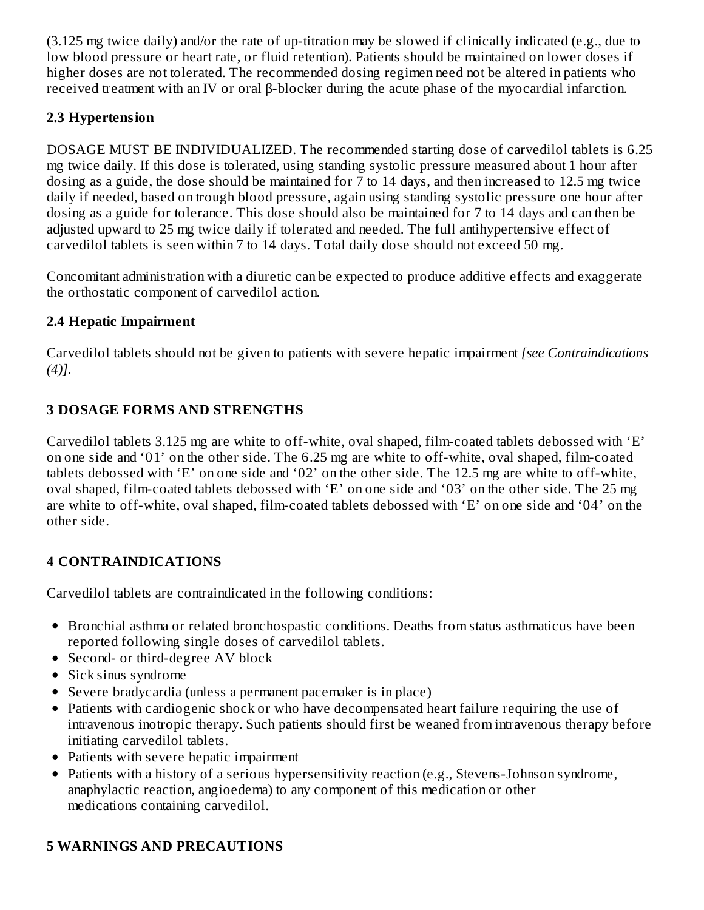(3.125 mg twice daily) and/or the rate of up-titration may be slowed if clinically indicated (e.g., due to low blood pressure or heart rate, or fluid retention). Patients should be maintained on lower doses if higher doses are not tolerated. The recommended dosing regimen need not be altered in patients who received treatment with an IV or oral β-blocker during the acute phase of the myocardial infarction.

## **2.3 Hypertension**

DOSAGE MUST BE INDIVIDUALIZED. The recommended starting dose of carvedilol tablets is 6.25 mg twice daily. If this dose is tolerated, using standing systolic pressure measured about 1 hour after dosing as a guide, the dose should be maintained for 7 to 14 days, and then increased to 12.5 mg twice daily if needed, based on trough blood pressure, again using standing systolic pressure one hour after dosing as a guide for tolerance. This dose should also be maintained for 7 to 14 days and can then be adjusted upward to 25 mg twice daily if tolerated and needed. The full antihypertensive effect of carvedilol tablets is seen within 7 to 14 days. Total daily dose should not exceed 50 mg.

Concomitant administration with a diuretic can be expected to produce additive effects and exaggerate the orthostatic component of carvedilol action.

## **2.4 Hepatic Impairment**

Carvedilol tablets should not be given to patients with severe hepatic impairment *[see Contraindications (4)]*.

## **3 DOSAGE FORMS AND STRENGTHS**

Carvedilol tablets 3.125 mg are white to off-white, oval shaped, film-coated tablets debossed with 'E' on one side and '01' on the other side. The 6.25 mg are white to off-white, oval shaped, film-coated tablets debossed with 'E' on one side and '02' on the other side. The 12.5 mg are white to off-white, oval shaped, film-coated tablets debossed with 'E' on one side and '03' on the other side. The 25 mg are white to off-white, oval shaped, film-coated tablets debossed with 'E' on one side and '04' on the other side.

## **4 CONTRAINDICATIONS**

Carvedilol tablets are contraindicated in the following conditions:

- Bronchial asthma or related bronchospastic conditions. Deaths from status asthmaticus have been reported following single doses of carvedilol tablets.
- Second- or third-degree AV block
- Sick sinus syndrome
- Severe bradycardia (unless a permanent pacemaker is in place)
- Patients with cardiogenic shock or who have decompensated heart failure requiring the use of intravenous inotropic therapy. Such patients should first be weaned from intravenous therapy before initiating carvedilol tablets.
- Patients with severe hepatic impairment
- Patients with a history of a serious hypersensitivity reaction (e.g., Stevens-Johnson syndrome, anaphylactic reaction, angioedema) to any component of this medication or other medications containing carvedilol.

# **5 WARNINGS AND PRECAUTIONS**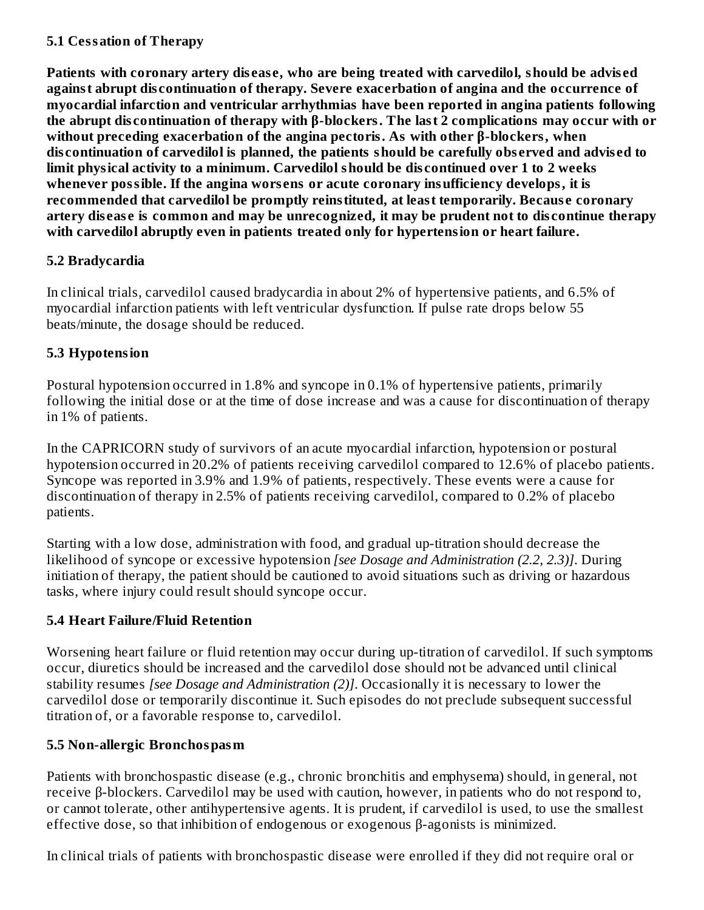## **5.1 Cessation of Therapy**

**Patients with coronary artery dis eas e, who are being treated with carvedilol, should be advis ed against abrupt dis continuation of therapy. Severe exacerbation of angina and the occurrence of myocardial infarction and ventricular arrhythmias have been reported in angina patients following the abrupt dis continuation of therapy with β-blockers. The last 2 complications may occur with or without preceding exacerbation of the angina pectoris. As with other β-blockers, when dis continuation of carvedilol is planned, the patients should be carefully obs erved and advis ed to limit physical activity to a minimum. Carvedilol should be dis continued over 1 to 2 weeks whenever possible. If the angina wors ens or acute coronary insufficiency develops, it is recommended that carvedilol be promptly reinstituted, at least temporarily. Becaus e coronary** artery disease is common and may be unrecognized, it may be prudent not to discontinue therapy **with carvedilol abruptly even in patients treated only for hypertension or heart failure.**

## **5.2 Bradycardia**

In clinical trials, carvedilol caused bradycardia in about 2% of hypertensive patients, and 6.5% of myocardial infarction patients with left ventricular dysfunction. If pulse rate drops below 55 beats/minute, the dosage should be reduced.

## **5.3 Hypotension**

Postural hypotension occurred in 1.8% and syncope in 0.1% of hypertensive patients, primarily following the initial dose or at the time of dose increase and was a cause for discontinuation of therapy in 1% of patients.

In the CAPRICORN study of survivors of an acute myocardial infarction, hypotension or postural hypotension occurred in 20.2% of patients receiving carvedilol compared to 12.6% of placebo patients. Syncope was reported in 3.9% and 1.9% of patients, respectively. These events were a cause for discontinuation of therapy in 2.5% of patients receiving carvedilol, compared to 0.2% of placebo patients.

Starting with a low dose, administration with food, and gradual up-titration should decrease the likelihood of syncope or excessive hypotension *[see Dosage and Administration (2.2, 2.3)]*. During initiation of therapy, the patient should be cautioned to avoid situations such as driving or hazardous tasks, where injury could result should syncope occur.

## **5.4 Heart Failure/Fluid Retention**

Worsening heart failure or fluid retention may occur during up-titration of carvedilol. If such symptoms occur, diuretics should be increased and the carvedilol dose should not be advanced until clinical stability resumes *[see Dosage and Administration (2)]*. Occasionally it is necessary to lower the carvedilol dose or temporarily discontinue it. Such episodes do not preclude subsequent successful titration of, or a favorable response to, carvedilol.

## **5.5 Non-allergic Bronchospasm**

Patients with bronchospastic disease (e.g., chronic bronchitis and emphysema) should, in general, not receive β-blockers. Carvedilol may be used with caution, however, in patients who do not respond to, or cannot tolerate, other antihypertensive agents. It is prudent, if carvedilol is used, to use the smallest effective dose, so that inhibition of endogenous or exogenous β-agonists is minimized.

In clinical trials of patients with bronchospastic disease were enrolled if they did not require oral or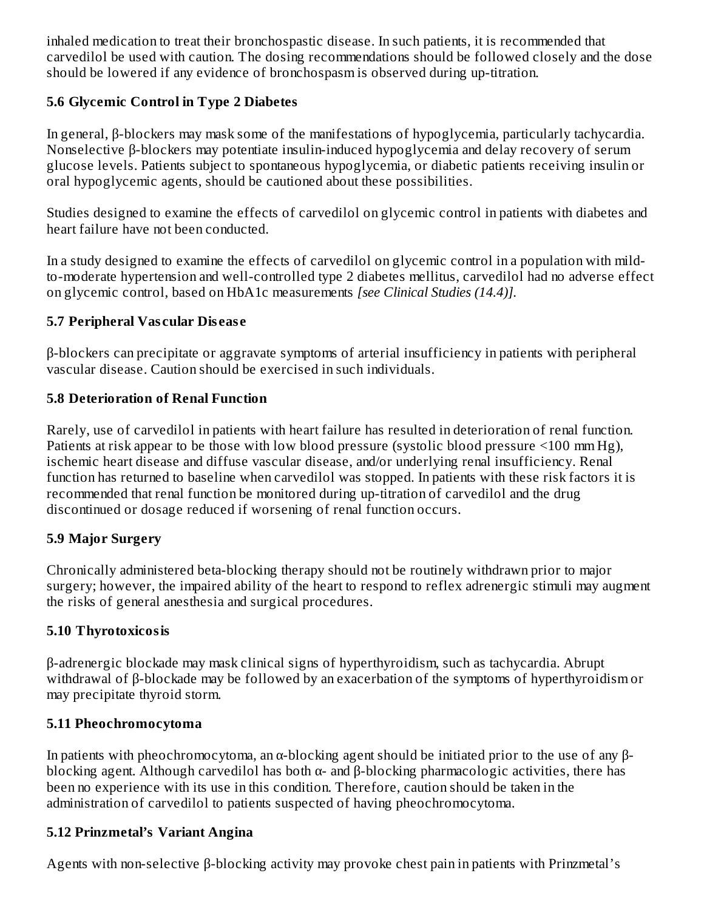inhaled medication to treat their bronchospastic disease. In such patients, it is recommended that carvedilol be used with caution. The dosing recommendations should be followed closely and the dose should be lowered if any evidence of bronchospasm is observed during up-titration.

## **5.6 Glycemic Control in Type 2 Diabetes**

In general, β-blockers may mask some of the manifestations of hypoglycemia, particularly tachycardia. Nonselective β-blockers may potentiate insulin-induced hypoglycemia and delay recovery of serum glucose levels. Patients subject to spontaneous hypoglycemia, or diabetic patients receiving insulin or oral hypoglycemic agents, should be cautioned about these possibilities.

Studies designed to examine the effects of carvedilol on glycemic control in patients with diabetes and heart failure have not been conducted.

In a study designed to examine the effects of carvedilol on glycemic control in a population with mildto-moderate hypertension and well-controlled type 2 diabetes mellitus, carvedilol had no adverse effect on glycemic control, based on HbA1c measurements *[see Clinical Studies (14.4)].*

## **5.7 Peripheral Vas cular Dis eas e**

β-blockers can precipitate or aggravate symptoms of arterial insufficiency in patients with peripheral vascular disease. Caution should be exercised in such individuals.

## **5.8 Deterioration of Renal Function**

Rarely, use of carvedilol in patients with heart failure has resulted in deterioration of renal function. Patients at risk appear to be those with low blood pressure (systolic blood pressure <100 mm Hg), ischemic heart disease and diffuse vascular disease, and/or underlying renal insufficiency. Renal function has returned to baseline when carvedilol was stopped. In patients with these risk factors it is recommended that renal function be monitored during up-titration of carvedilol and the drug discontinued or dosage reduced if worsening of renal function occurs.

## **5.9 Major Surgery**

Chronically administered beta-blocking therapy should not be routinely withdrawn prior to major surgery; however, the impaired ability of the heart to respond to reflex adrenergic stimuli may augment the risks of general anesthesia and surgical procedures.

## **5.10 Thyrotoxicosis**

β-adrenergic blockade may mask clinical signs of hyperthyroidism, such as tachycardia. Abrupt withdrawal of β-blockade may be followed by an exacerbation of the symptoms of hyperthyroidism or may precipitate thyroid storm.

## **5.11 Pheochromocytoma**

In patients with pheochromocytoma, an α-blocking agent should be initiated prior to the use of any βblocking agent. Although carvedilol has both  $\alpha$ - and  $\beta$ -blocking pharmacologic activities, there has been no experience with its use in this condition. Therefore, caution should be taken in the administration of carvedilol to patients suspected of having pheochromocytoma.

## **5.12 Prinzmetal's Variant Angina**

Agents with non-selective β-blocking activity may provoke chest pain in patients with Prinzmetal's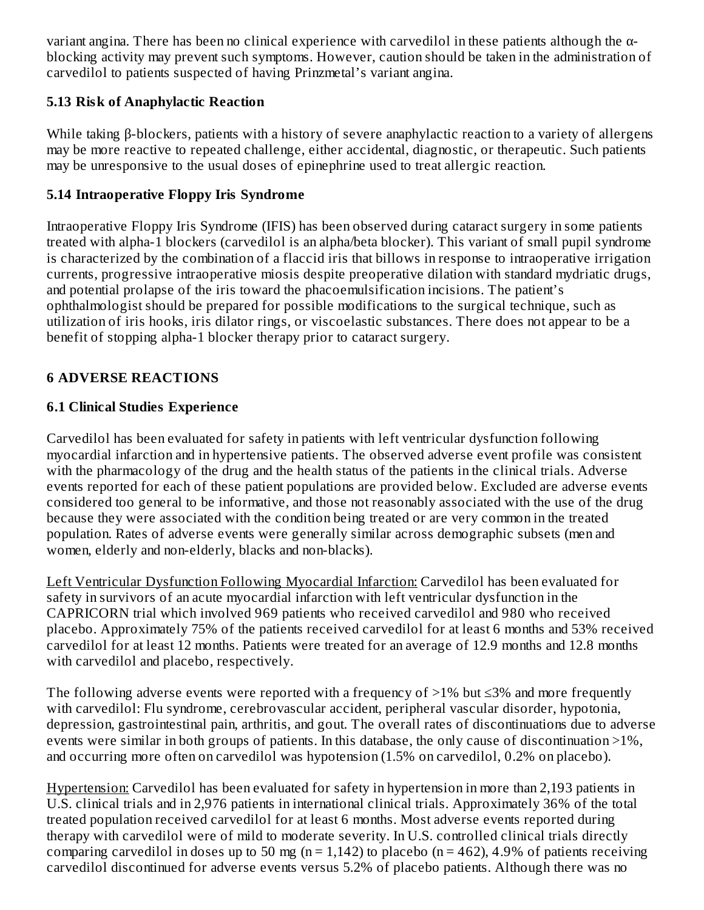variant angina. There has been no clinical experience with carvedilol in these patients although the αblocking activity may prevent such symptoms. However, caution should be taken in the administration of carvedilol to patients suspected of having Prinzmetal's variant angina.

## **5.13 Risk of Anaphylactic Reaction**

While taking β-blockers, patients with a history of severe anaphylactic reaction to a variety of allergens may be more reactive to repeated challenge, either accidental, diagnostic, or therapeutic. Such patients may be unresponsive to the usual doses of epinephrine used to treat allergic reaction.

## **5.14 Intraoperative Floppy Iris Syndrome**

Intraoperative Floppy Iris Syndrome (IFIS) has been observed during cataract surgery in some patients treated with alpha-1 blockers (carvedilol is an alpha/beta blocker). This variant of small pupil syndrome is characterized by the combination of a flaccid iris that billows in response to intraoperative irrigation currents, progressive intraoperative miosis despite preoperative dilation with standard mydriatic drugs, and potential prolapse of the iris toward the phacoemulsification incisions. The patient's ophthalmologist should be prepared for possible modifications to the surgical technique, such as utilization of iris hooks, iris dilator rings, or viscoelastic substances. There does not appear to be a benefit of stopping alpha-1 blocker therapy prior to cataract surgery.

## **6 ADVERSE REACTIONS**

## **6.1 Clinical Studies Experience**

Carvedilol has been evaluated for safety in patients with left ventricular dysfunction following myocardial infarction and in hypertensive patients. The observed adverse event profile was consistent with the pharmacology of the drug and the health status of the patients in the clinical trials. Adverse events reported for each of these patient populations are provided below. Excluded are adverse events considered too general to be informative, and those not reasonably associated with the use of the drug because they were associated with the condition being treated or are very common in the treated population. Rates of adverse events were generally similar across demographic subsets (men and women, elderly and non-elderly, blacks and non-blacks).

Left Ventricular Dysfunction Following Myocardial Infarction: Carvedilol has been evaluated for safety in survivors of an acute myocardial infarction with left ventricular dysfunction in the CAPRICORN trial which involved 969 patients who received carvedilol and 980 who received placebo. Approximately 75% of the patients received carvedilol for at least 6 months and 53% received carvedilol for at least 12 months. Patients were treated for an average of 12.9 months and 12.8 months with carvedilol and placebo, respectively.

The following adverse events were reported with a frequency of  $>1\%$  but  $\leq 3\%$  and more frequently with carvedilol: Flu syndrome, cerebrovascular accident, peripheral vascular disorder, hypotonia, depression, gastrointestinal pain, arthritis, and gout. The overall rates of discontinuations due to adverse events were similar in both groups of patients. In this database, the only cause of discontinuation >1%, and occurring more often on carvedilol was hypotension (1.5% on carvedilol, 0.2% on placebo).

Hypertension: Carvedilol has been evaluated for safety in hypertension in more than 2,193 patients in U.S. clinical trials and in 2,976 patients in international clinical trials. Approximately 36% of the total treated population received carvedilol for at least 6 months. Most adverse events reported during therapy with carvedilol were of mild to moderate severity. In U.S. controlled clinical trials directly comparing carvedilol in doses up to 50 mg ( $n = 1,142$ ) to placebo ( $n = 462$ ), 4.9% of patients receiving carvedilol discontinued for adverse events versus 5.2% of placebo patients. Although there was no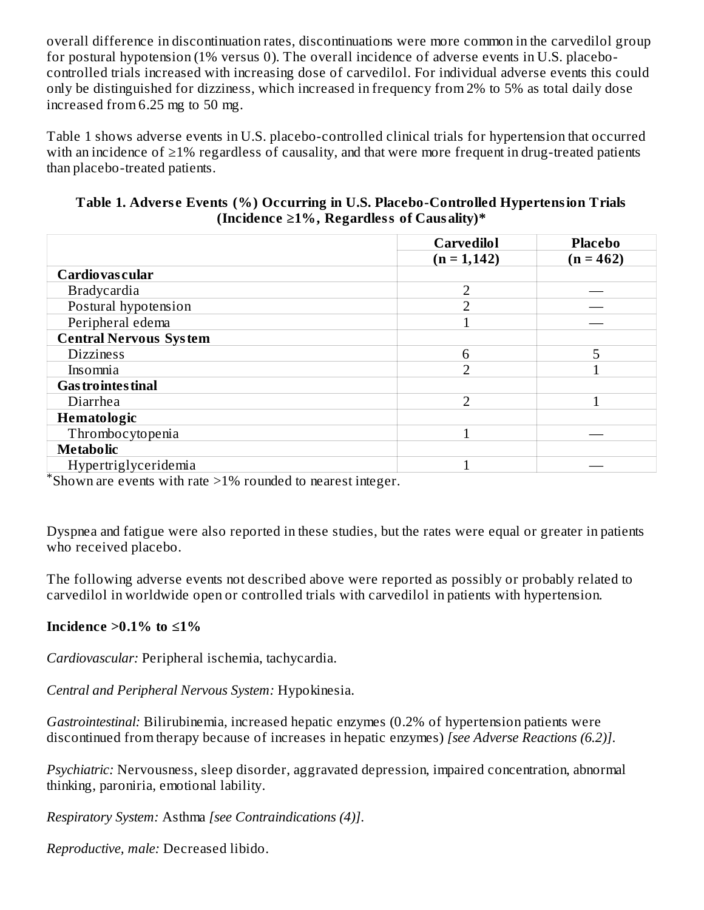overall difference in discontinuation rates, discontinuations were more common in the carvedilol group for postural hypotension (1% versus 0). The overall incidence of adverse events in U.S. placebocontrolled trials increased with increasing dose of carvedilol. For individual adverse events this could only be distinguished for dizziness, which increased in frequency from 2% to 5% as total daily dose increased from 6.25 mg to 50 mg.

Table 1 shows adverse events in U.S. placebo-controlled clinical trials for hypertension that occurred with an incidence of ≥1% regardless of causality, and that were more frequent in drug-treated patients than placebo-treated patients.

#### **Table 1. Advers e Events (%) Occurring in U.S. Placebo-Controlled Hypertension Trials (Incidence ≥1%, Regardless of Causality)\***

|                                                                                                                                    | <b>Carvedilol</b> | <b>Placebo</b> |
|------------------------------------------------------------------------------------------------------------------------------------|-------------------|----------------|
|                                                                                                                                    | $(n = 1, 142)$    | $(n = 462)$    |
| Cardiovas cular                                                                                                                    |                   |                |
| <b>Bradycardia</b>                                                                                                                 | C                 |                |
| Postural hypotension                                                                                                               | ר                 |                |
| Peripheral edema                                                                                                                   |                   |                |
| <b>Central Nervous System</b>                                                                                                      |                   |                |
| <b>Dizziness</b>                                                                                                                   | 6                 | 5              |
| Insomnia                                                                                                                           | ר                 |                |
| <b>Gas trointes tinal</b>                                                                                                          |                   |                |
| Diarrhea                                                                                                                           | $\overline{2}$    |                |
| Hematologic                                                                                                                        |                   |                |
| Thrombocytopenia                                                                                                                   |                   |                |
| <b>Metabolic</b>                                                                                                                   |                   |                |
| Hypertriglyceridemia<br>$\overline{\ast}$ $\overline{\phantom{a}}$<br>the company's company's company's company's<br>$\sim$ $\sim$ |                   |                |

Shown are events with rate >1% rounded to nearest integer. \*

Dyspnea and fatigue were also reported in these studies, but the rates were equal or greater in patients who received placebo.

The following adverse events not described above were reported as possibly or probably related to carvedilol in worldwide open or controlled trials with carvedilol in patients with hypertension.

## **Incidence >0.1% to ≤1%**

*Cardiovascular:* Peripheral ischemia, tachycardia.

*Central and Peripheral Nervous System:* Hypokinesia.

*Gastrointestinal:* Bilirubinemia, increased hepatic enzymes (0.2% of hypertension patients were discontinued from therapy because of increases in hepatic enzymes) *[see Adverse Reactions (6.2)]*.

*Psychiatric:* Nervousness, sleep disorder, aggravated depression, impaired concentration, abnormal thinking, paroniria, emotional lability.

*Respiratory System:* Asthma *[see Contraindications (4)]*.

*Reproductive, male:* Decreased libido.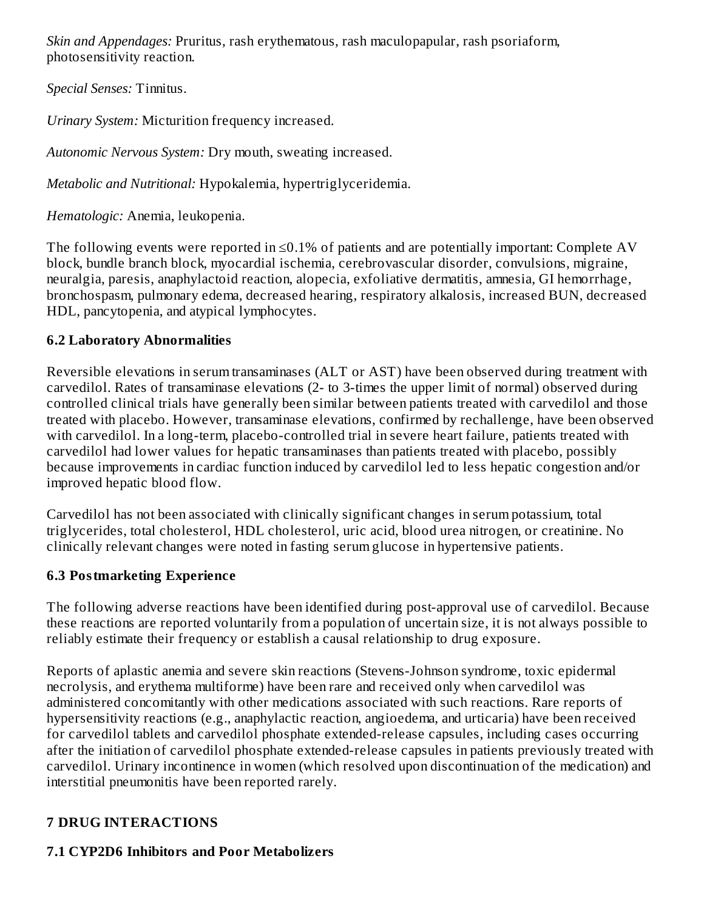*Skin and Appendages:* Pruritus, rash erythematous, rash maculopapular, rash psoriaform, photosensitivity reaction.

*Special Senses:* Tinnitus.

*Urinary System:* Micturition frequency increased.

*Autonomic Nervous System:* Dry mouth, sweating increased.

*Metabolic and Nutritional:* Hypokalemia, hypertriglyceridemia.

*Hematologic:* Anemia, leukopenia.

The following events were reported in  $\leq 0.1\%$  of patients and are potentially important: Complete AV block, bundle branch block, myocardial ischemia, cerebrovascular disorder, convulsions, migraine, neuralgia, paresis, anaphylactoid reaction, alopecia, exfoliative dermatitis, amnesia, GI hemorrhage, bronchospasm, pulmonary edema, decreased hearing, respiratory alkalosis, increased BUN, decreased HDL, pancytopenia, and atypical lymphocytes.

## **6.2 Laboratory Abnormalities**

Reversible elevations in serum transaminases (ALT or AST) have been observed during treatment with carvedilol. Rates of transaminase elevations (2- to 3-times the upper limit of normal) observed during controlled clinical trials have generally been similar between patients treated with carvedilol and those treated with placebo. However, transaminase elevations, confirmed by rechallenge, have been observed with carvedilol. In a long-term, placebo-controlled trial in severe heart failure, patients treated with carvedilol had lower values for hepatic transaminases than patients treated with placebo, possibly because improvements in cardiac function induced by carvedilol led to less hepatic congestion and/or improved hepatic blood flow.

Carvedilol has not been associated with clinically significant changes in serum potassium, total triglycerides, total cholesterol, HDL cholesterol, uric acid, blood urea nitrogen, or creatinine. No clinically relevant changes were noted in fasting serum glucose in hypertensive patients.

## **6.3 Postmarketing Experience**

The following adverse reactions have been identified during post-approval use of carvedilol. Because these reactions are reported voluntarily from a population of uncertain size, it is not always possible to reliably estimate their frequency or establish a causal relationship to drug exposure.

Reports of aplastic anemia and severe skin reactions (Stevens-Johnson syndrome, toxic epidermal necrolysis, and erythema multiforme) have been rare and received only when carvedilol was administered concomitantly with other medications associated with such reactions. Rare reports of hypersensitivity reactions (e.g., anaphylactic reaction, angioedema, and urticaria) have been received for carvedilol tablets and carvedilol phosphate extended-release capsules, including cases occurring after the initiation of carvedilol phosphate extended-release capsules in patients previously treated with carvedilol. Urinary incontinence in women (which resolved upon discontinuation of the medication) and interstitial pneumonitis have been reported rarely.

## **7 DRUG INTERACTIONS**

# **7.1 CYP2D6 Inhibitors and Poor Metabolizers**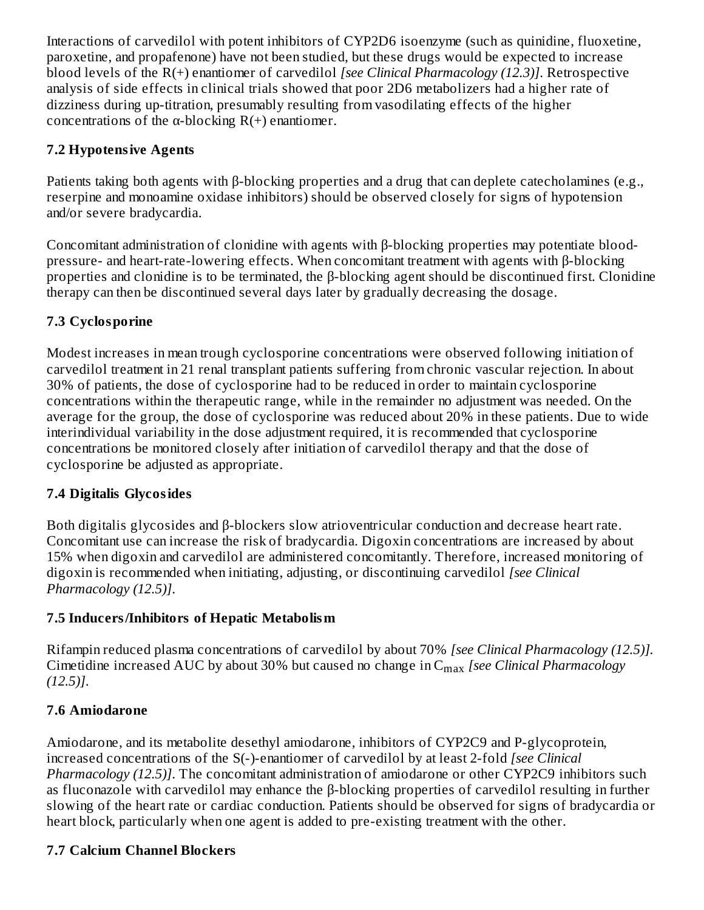Interactions of carvedilol with potent inhibitors of CYP2D6 isoenzyme (such as quinidine, fluoxetine, paroxetine, and propafenone) have not been studied, but these drugs would be expected to increase blood levels of the R(+) enantiomer of carvedilol *[see Clinical Pharmacology (12.3)]*. Retrospective analysis of side effects in clinical trials showed that poor 2D6 metabolizers had a higher rate of dizziness during up-titration, presumably resulting from vasodilating effects of the higher concentrations of the  $\alpha$ -blocking R(+) enantiomer.

# **7.2 Hypotensive Agents**

Patients taking both agents with β-blocking properties and a drug that can deplete catecholamines (e.g., reserpine and monoamine oxidase inhibitors) should be observed closely for signs of hypotension and/or severe bradycardia.

Concomitant administration of clonidine with agents with β-blocking properties may potentiate bloodpressure- and heart-rate-lowering effects. When concomitant treatment with agents with β-blocking properties and clonidine is to be terminated, the β-blocking agent should be discontinued first. Clonidine therapy can then be discontinued several days later by gradually decreasing the dosage.

# **7.3 Cyclosporine**

Modest increases in mean trough cyclosporine concentrations were observed following initiation of carvedilol treatment in 21 renal transplant patients suffering from chronic vascular rejection. In about 30% of patients, the dose of cyclosporine had to be reduced in order to maintain cyclosporine concentrations within the therapeutic range, while in the remainder no adjustment was needed. On the average for the group, the dose of cyclosporine was reduced about 20% in these patients. Due to wide interindividual variability in the dose adjustment required, it is recommended that cyclosporine concentrations be monitored closely after initiation of carvedilol therapy and that the dose of cyclosporine be adjusted as appropriate.

# **7.4 Digitalis Glycosides**

Both digitalis glycosides and β-blockers slow atrioventricular conduction and decrease heart rate. Concomitant use can increase the risk of bradycardia. Digoxin concentrations are increased by about 15% when digoxin and carvedilol are administered concomitantly. Therefore, increased monitoring of digoxin is recommended when initiating, adjusting, or discontinuing carvedilol *[see Clinical Pharmacology (12.5)]*.

## **7.5 Inducers/Inhibitors of Hepatic Metabolism**

Rifampin reduced plasma concentrations of carvedilol by about 70% *[see Clinical Pharmacology (12.5)].* Cimetidine increased AUC by about 30% but caused no change in C<sub>max</sub> [see Clinical Pharmacology *(12.5)]*.

# **7.6 Amiodarone**

Amiodarone, and its metabolite desethyl amiodarone, inhibitors of CYP2C9 and P-glycoprotein, increased concentrations of the S(-)-enantiomer of carvedilol by at least 2-fold *[see Clinical Pharmacology (12.5)]*. The concomitant administration of amiodarone or other CYP2C9 inhibitors such as fluconazole with carvedilol may enhance the β-blocking properties of carvedilol resulting in further slowing of the heart rate or cardiac conduction. Patients should be observed for signs of bradycardia or heart block, particularly when one agent is added to pre-existing treatment with the other.

# **7.7 Calcium Channel Blockers**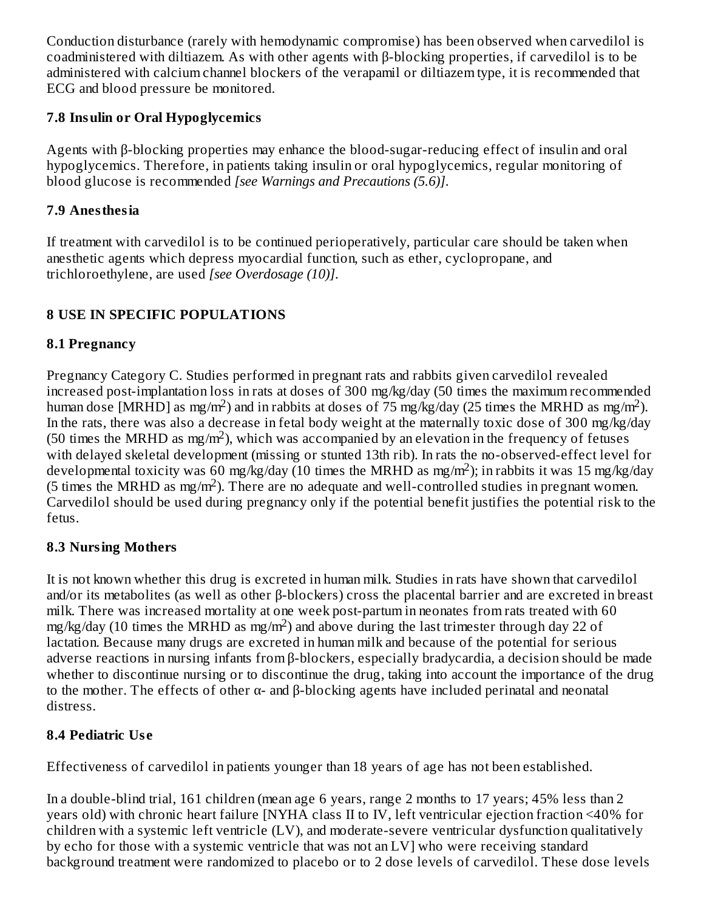Conduction disturbance (rarely with hemodynamic compromise) has been observed when carvedilol is coadministered with diltiazem. As with other agents with β-blocking properties, if carvedilol is to be administered with calcium channel blockers of the verapamil or diltiazem type, it is recommended that ECG and blood pressure be monitored.

## **7.8 Insulin or Oral Hypoglycemics**

Agents with β-blocking properties may enhance the blood-sugar-reducing effect of insulin and oral hypoglycemics. Therefore, in patients taking insulin or oral hypoglycemics, regular monitoring of blood glucose is recommended *[see Warnings and Precautions (5.6)]*.

# **7.9 Anesthesia**

If treatment with carvedilol is to be continued perioperatively, particular care should be taken when anesthetic agents which depress myocardial function, such as ether, cyclopropane, and trichloroethylene, are used *[see Overdosage (10)]*.

# **8 USE IN SPECIFIC POPULATIONS**

# **8.1 Pregnancy**

Pregnancy Category C. Studies performed in pregnant rats and rabbits given carvedilol revealed increased post-implantation loss in rats at doses of 300 mg/kg/day (50 times the maximum recommended human dose [MRHD] as mg/m<sup>2</sup>) and in rabbits at doses of  $\frac{75}{2}$  mg/kg/day (25 times the MRHD as mg/m<sup>2</sup>). In the rats, there was also a decrease in fetal body weight at the maternally toxic dose of 300 mg/kg/day (50 times the MRHD as mg/m<sup>2</sup>), which was accompanied by an elevation in the frequency of fetuses with delayed skeletal development (missing or stunted 13th rib). In rats the no-observed-effect level for developmental toxicity was 60 mg/kg/day (10 times the MRHD as mg/m<sup>2</sup>); in rabbits it was 15 mg/kg/day (5 times the MRHD as mg/m<sup>2</sup>). There are no adequate and well-controlled studies in pregnant women. Carvedilol should be used during pregnancy only if the potential benefit justifies the potential risk to the fetus.

## **8.3 Nursing Mothers**

It is not known whether this drug is excreted in human milk. Studies in rats have shown that carvedilol and/or its metabolites (as well as other β-blockers) cross the placental barrier and are excreted in breast milk. There was increased mortality at one week post-partum in neonates from rats treated with 60 mg/kg/day (10 times the MRHD as mg/m<sup>2</sup>) and above during the last trimester through day 22 of lactation. Because many drugs are excreted in human milk and because of the potential for serious adverse reactions in nursing infants from β-blockers, especially bradycardia, a decision should be made whether to discontinue nursing or to discontinue the drug, taking into account the importance of the drug to the mother. The effects of other α- and β-blocking agents have included perinatal and neonatal distress.

# **8.4 Pediatric Us e**

Effectiveness of carvedilol in patients younger than 18 years of age has not been established.

In a double-blind trial, 161 children (mean age 6 years, range 2 months to 17 years; 45% less than 2 years old) with chronic heart failure [NYHA class II to IV, left ventricular ejection fraction <40% for children with a systemic left ventricle (LV), and moderate-severe ventricular dysfunction qualitatively by echo for those with a systemic ventricle that was not an LV] who were receiving standard background treatment were randomized to placebo or to 2 dose levels of carvedilol. These dose levels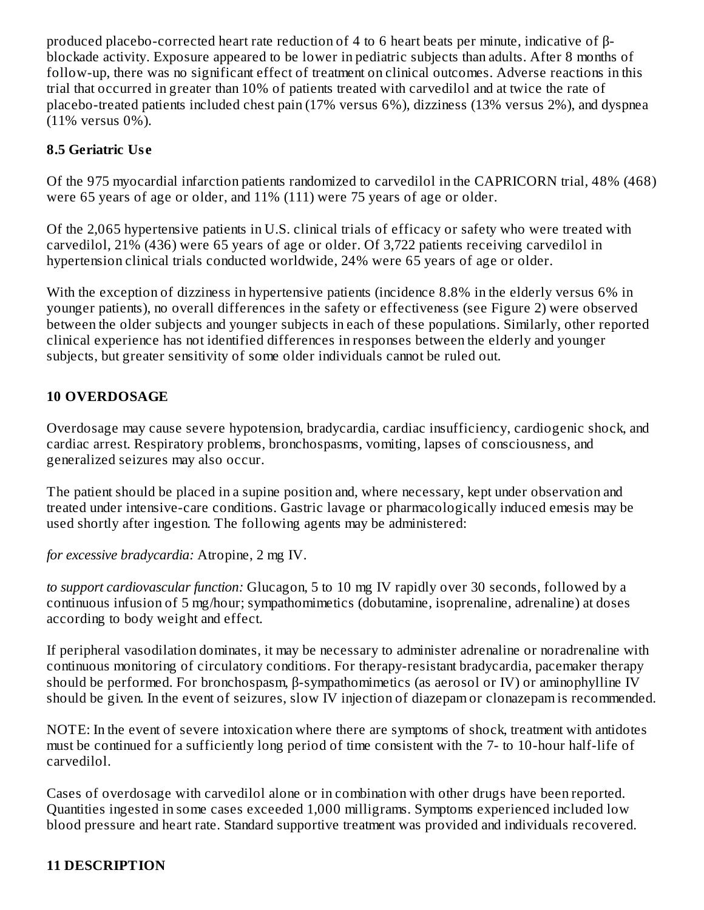produced placebo-corrected heart rate reduction of 4 to 6 heart beats per minute, indicative of βblockade activity. Exposure appeared to be lower in pediatric subjects than adults. After 8 months of follow-up, there was no significant effect of treatment on clinical outcomes. Adverse reactions in this trial that occurred in greater than 10% of patients treated with carvedilol and at twice the rate of placebo-treated patients included chest pain (17% versus 6%), dizziness (13% versus 2%), and dyspnea (11% versus 0%).

#### **8.5 Geriatric Us e**

Of the 975 myocardial infarction patients randomized to carvedilol in the CAPRICORN trial, 48% (468) were 65 years of age or older, and 11% (111) were 75 years of age or older.

Of the 2,065 hypertensive patients in U.S. clinical trials of efficacy or safety who were treated with carvedilol, 21% (436) were 65 years of age or older. Of 3,722 patients receiving carvedilol in hypertension clinical trials conducted worldwide, 24% were 65 years of age or older.

With the exception of dizziness in hypertensive patients (incidence 8.8% in the elderly versus 6% in younger patients), no overall differences in the safety or effectiveness (see Figure 2) were observed between the older subjects and younger subjects in each of these populations. Similarly, other reported clinical experience has not identified differences in responses between the elderly and younger subjects, but greater sensitivity of some older individuals cannot be ruled out.

#### **10 OVERDOSAGE**

Overdosage may cause severe hypotension, bradycardia, cardiac insufficiency, cardiogenic shock, and cardiac arrest. Respiratory problems, bronchospasms, vomiting, lapses of consciousness, and generalized seizures may also occur.

The patient should be placed in a supine position and, where necessary, kept under observation and treated under intensive-care conditions. Gastric lavage or pharmacologically induced emesis may be used shortly after ingestion. The following agents may be administered:

*for excessive bradycardia:* Atropine, 2 mg IV.

*to support cardiovascular function:* Glucagon, 5 to 10 mg IV rapidly over 30 seconds, followed by a continuous infusion of 5 mg/hour; sympathomimetics (dobutamine, isoprenaline, adrenaline) at doses according to body weight and effect.

If peripheral vasodilation dominates, it may be necessary to administer adrenaline or noradrenaline with continuous monitoring of circulatory conditions. For therapy-resistant bradycardia, pacemaker therapy should be performed. For bronchospasm, β-sympathomimetics (as aerosol or IV) or aminophylline IV should be given. In the event of seizures, slow IV injection of diazepam or clonazepam is recommended.

NOTE: In the event of severe intoxication where there are symptoms of shock, treatment with antidotes must be continued for a sufficiently long period of time consistent with the 7- to 10-hour half-life of carvedilol.

Cases of overdosage with carvedilol alone or in combination with other drugs have been reported. Quantities ingested in some cases exceeded 1,000 milligrams. Symptoms experienced included low blood pressure and heart rate. Standard supportive treatment was provided and individuals recovered.

## **11 DESCRIPTION**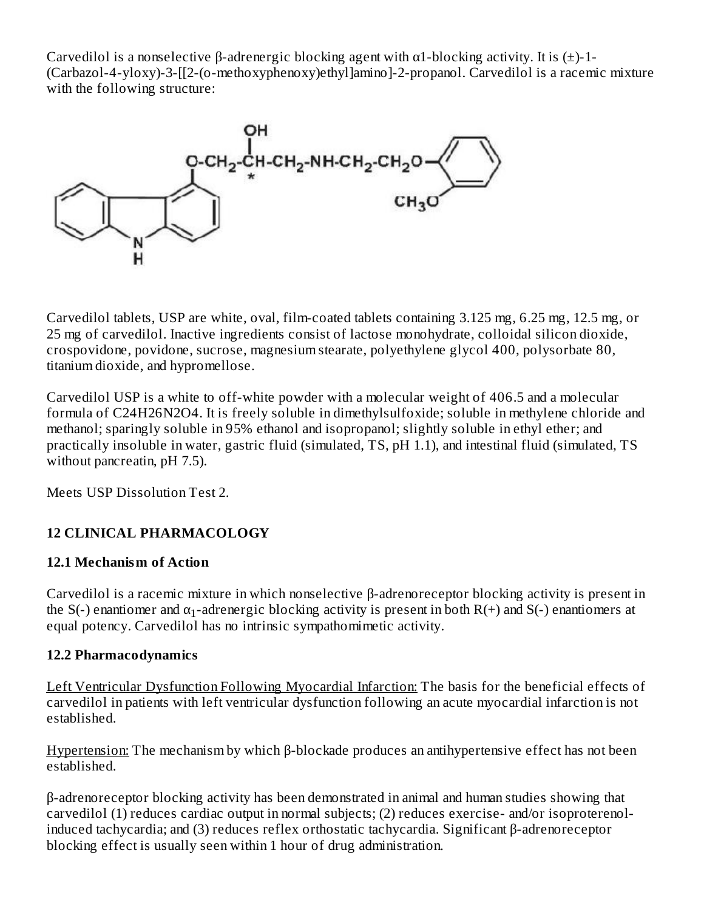Carvedilol is a nonselective  $\beta$ -adrenergic blocking agent with  $\alpha$ 1-blocking activity. It is  $(\pm)$ -1-(Carbazol-4-yloxy)-3-[[2-(o-methoxyphenoxy)ethyl]amino]-2-propanol. Carvedilol is a racemic mixture with the following structure:



Carvedilol tablets, USP are white, oval, film-coated tablets containing 3.125 mg, 6.25 mg, 12.5 mg, or 25 mg of carvedilol. Inactive ingredients consist of lactose monohydrate, colloidal silicon dioxide, crospovidone, povidone, sucrose, magnesium stearate, polyethylene glycol 400, polysorbate 80, titanium dioxide, and hypromellose.

Carvedilol USP is a white to off-white powder with a molecular weight of 406.5 and a molecular formula of C24H26N2O4. It is freely soluble in dimethylsulfoxide; soluble in methylene chloride and methanol; sparingly soluble in 95% ethanol and isopropanol; slightly soluble in ethyl ether; and practically insoluble in water, gastric fluid (simulated, TS, pH 1.1), and intestinal fluid (simulated, TS without pancreatin, pH 7.5).

Meets USP Dissolution Test 2.

## **12 CLINICAL PHARMACOLOGY**

## **12.1 Mechanism of Action**

Carvedilol is a racemic mixture in which nonselective β-adrenoreceptor blocking activity is present in the S(-) enantiomer and  $\alpha_1$ -adrenergic blocking activity is present in both R(+) and S(-) enantiomers at equal potency. Carvedilol has no intrinsic sympathomimetic activity.

#### **12.2 Pharmacodynamics**

Left Ventricular Dysfunction Following Myocardial Infarction: The basis for the beneficial effects of carvedilol in patients with left ventricular dysfunction following an acute myocardial infarction is not established.

Hypertension: The mechanism by which β-blockade produces an antihypertensive effect has not been established.

β-adrenoreceptor blocking activity has been demonstrated in animal and human studies showing that carvedilol (1) reduces cardiac output in normal subjects; (2) reduces exercise- and/or isoproterenolinduced tachycardia; and (3) reduces reflex orthostatic tachycardia. Significant β-adrenoreceptor blocking effect is usually seen within 1 hour of drug administration.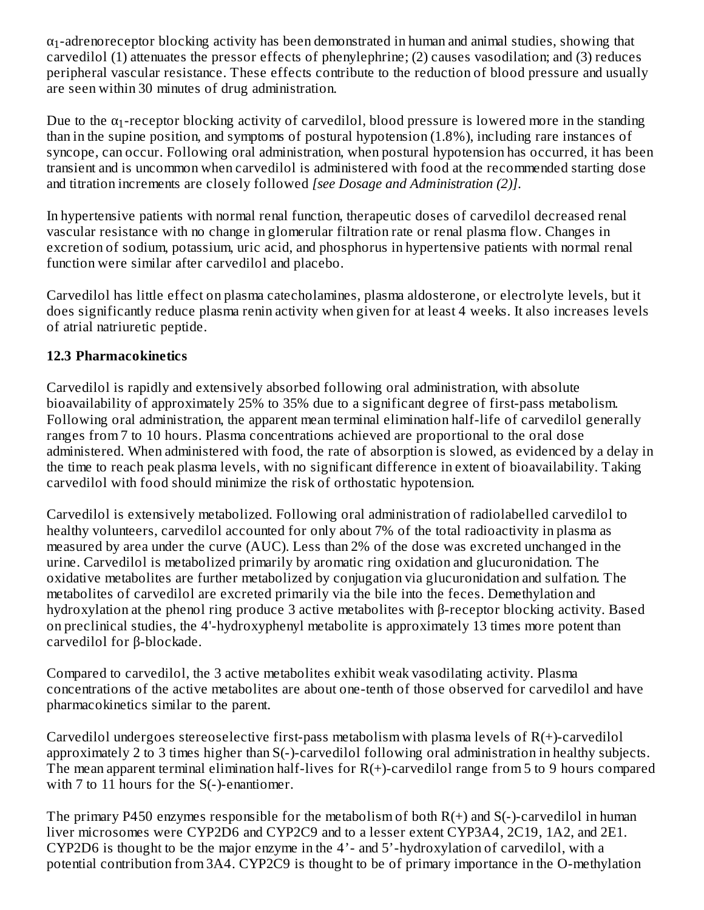$\alpha_1$ -adrenoreceptor blocking activity has been demonstrated in human and animal studies, showing that carvedilol (1) attenuates the pressor effects of phenylephrine; (2) causes vasodilation; and (3) reduces peripheral vascular resistance. These effects contribute to the reduction of blood pressure and usually are seen within 30 minutes of drug administration.

Due to the  $\alpha_1$ -receptor blocking activity of carvedilol, blood pressure is lowered more in the standing than in the supine position, and symptoms of postural hypotension (1.8%), including rare instances of syncope, can occur. Following oral administration, when postural hypotension has occurred, it has been transient and is uncommon when carvedilol is administered with food at the recommended starting dose and titration increments are closely followed *[see Dosage and Administration (2)]*.

In hypertensive patients with normal renal function, therapeutic doses of carvedilol decreased renal vascular resistance with no change in glomerular filtration rate or renal plasma flow. Changes in excretion of sodium, potassium, uric acid, and phosphorus in hypertensive patients with normal renal function were similar after carvedilol and placebo.

Carvedilol has little effect on plasma catecholamines, plasma aldosterone, or electrolyte levels, but it does significantly reduce plasma renin activity when given for at least 4 weeks. It also increases levels of atrial natriuretic peptide.

## **12.3 Pharmacokinetics**

Carvedilol is rapidly and extensively absorbed following oral administration, with absolute bioavailability of approximately 25% to 35% due to a significant degree of first-pass metabolism. Following oral administration, the apparent mean terminal elimination half-life of carvedilol generally ranges from 7 to 10 hours. Plasma concentrations achieved are proportional to the oral dose administered. When administered with food, the rate of absorption is slowed, as evidenced by a delay in the time to reach peak plasma levels, with no significant difference in extent of bioavailability. Taking carvedilol with food should minimize the risk of orthostatic hypotension.

Carvedilol is extensively metabolized. Following oral administration of radiolabelled carvedilol to healthy volunteers, carvedilol accounted for only about 7% of the total radioactivity in plasma as measured by area under the curve (AUC). Less than 2% of the dose was excreted unchanged in the urine. Carvedilol is metabolized primarily by aromatic ring oxidation and glucuronidation. The oxidative metabolites are further metabolized by conjugation via glucuronidation and sulfation. The metabolites of carvedilol are excreted primarily via the bile into the feces. Demethylation and hydroxylation at the phenol ring produce 3 active metabolites with β-receptor blocking activity. Based on preclinical studies, the 4'-hydroxyphenyl metabolite is approximately 13 times more potent than carvedilol for β-blockade.

Compared to carvedilol, the 3 active metabolites exhibit weak vasodilating activity. Plasma concentrations of the active metabolites are about one-tenth of those observed for carvedilol and have pharmacokinetics similar to the parent.

Carvedilol undergoes stereoselective first-pass metabolism with plasma levels of R(+)-carvedilol approximately 2 to 3 times higher than S(-)-carvedilol following oral administration in healthy subjects. The mean apparent terminal elimination half-lives for R(+)-carvedilol range from 5 to 9 hours compared with 7 to 11 hours for the S(-)-enantiomer.

The primary P450 enzymes responsible for the metabolism of both  $R(+)$  and  $S(-)$ -carvedilol in human liver microsomes were CYP2D6 and CYP2C9 and to a lesser extent CYP3A4, 2C19, 1A2, and 2E1. CYP2D6 is thought to be the major enzyme in the 4'- and 5'-hydroxylation of carvedilol, with a potential contribution from 3A4. CYP2C9 is thought to be of primary importance in the O-methylation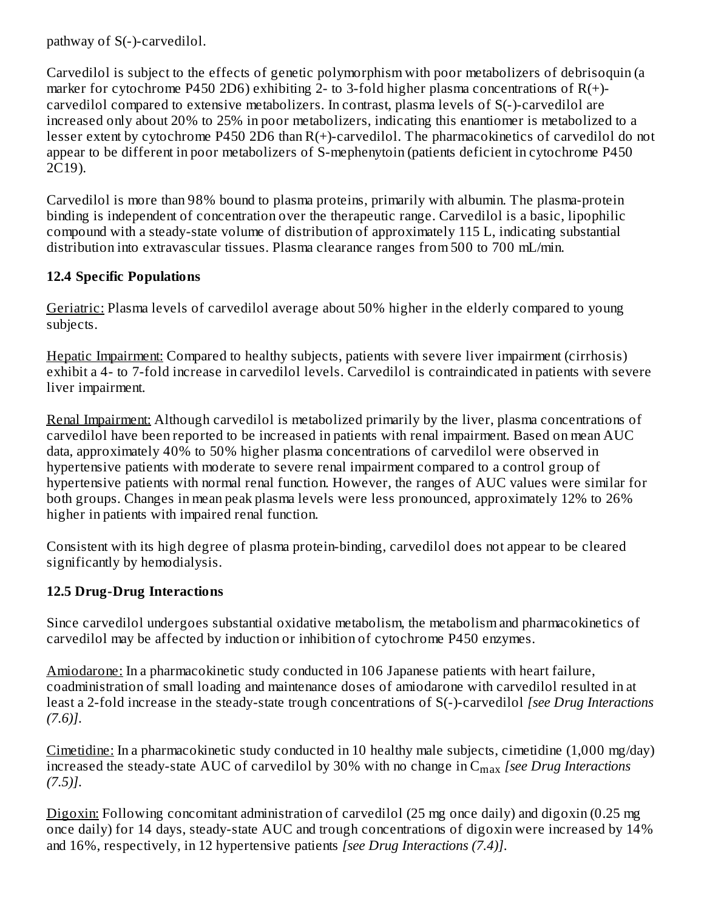pathway of S(-)-carvedilol.

Carvedilol is subject to the effects of genetic polymorphism with poor metabolizers of debrisoquin (a marker for cytochrome P450 2D6) exhibiting 2- to 3-fold higher plasma concentrations of  $R(+)$ carvedilol compared to extensive metabolizers. In contrast, plasma levels of S(-)-carvedilol are increased only about 20% to 25% in poor metabolizers, indicating this enantiomer is metabolized to a lesser extent by cytochrome P450 2D6 than R(+)-carvedilol. The pharmacokinetics of carvedilol do not appear to be different in poor metabolizers of S-mephenytoin (patients deficient in cytochrome P450 2C19).

Carvedilol is more than 98% bound to plasma proteins, primarily with albumin. The plasma-protein binding is independent of concentration over the therapeutic range. Carvedilol is a basic, lipophilic compound with a steady-state volume of distribution of approximately 115 L, indicating substantial distribution into extravascular tissues. Plasma clearance ranges from 500 to 700 mL/min.

## **12.4 Specific Populations**

Geriatric: Plasma levels of carvedilol average about 50% higher in the elderly compared to young subjects.

Hepatic Impairment: Compared to healthy subjects, patients with severe liver impairment (cirrhosis) exhibit a 4- to 7-fold increase in carvedilol levels. Carvedilol is contraindicated in patients with severe liver impairment.

Renal Impairment: Although carvedilol is metabolized primarily by the liver, plasma concentrations of carvedilol have been reported to be increased in patients with renal impairment. Based on mean AUC data, approximately 40% to 50% higher plasma concentrations of carvedilol were observed in hypertensive patients with moderate to severe renal impairment compared to a control group of hypertensive patients with normal renal function. However, the ranges of AUC values were similar for both groups. Changes in mean peak plasma levels were less pronounced, approximately 12% to 26% higher in patients with impaired renal function.

Consistent with its high degree of plasma protein-binding, carvedilol does not appear to be cleared significantly by hemodialysis.

## **12.5 Drug-Drug Interactions**

Since carvedilol undergoes substantial oxidative metabolism, the metabolism and pharmacokinetics of carvedilol may be affected by induction or inhibition of cytochrome P450 enzymes.

Amiodarone: In a pharmacokinetic study conducted in 106 Japanese patients with heart failure, coadministration of small loading and maintenance doses of amiodarone with carvedilol resulted in at least a 2-fold increase in the steady-state trough concentrations of S(-)-carvedilol *[see Drug Interactions (7.6)]*.

Cimetidine: In a pharmacokinetic study conducted in 10 healthy male subjects, cimetidine (1,000 mg/day) increased the steady-state AUC of carvedilol by 30% with no change in C<sub>max</sub> [see Drug Interactions *(7.5)]*.

Digoxin: Following concomitant administration of carvedilol (25 mg once daily) and digoxin (0.25 mg once daily) for 14 days, steady-state AUC and trough concentrations of digoxin were increased by 14% and 16%, respectively, in 12 hypertensive patients *[see Drug Interactions (7.4)]*.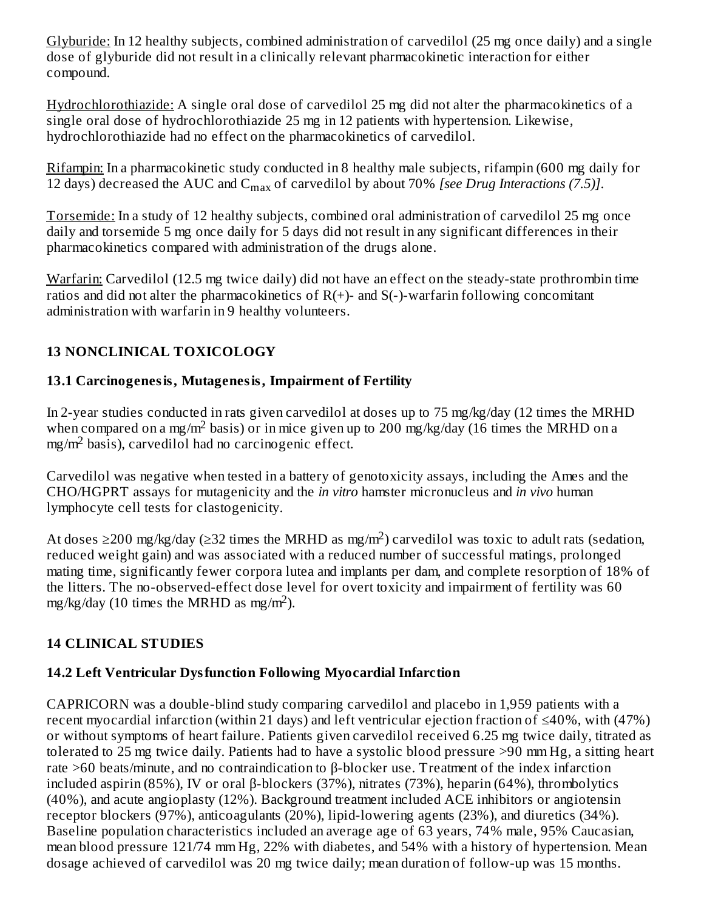Glyburide: In 12 healthy subjects, combined administration of carvedilol (25 mg once daily) and a single dose of glyburide did not result in a clinically relevant pharmacokinetic interaction for either compound.

Hydrochlorothiazide: A single oral dose of carvedilol 25 mg did not alter the pharmacokinetics of a single oral dose of hydrochlorothiazide 25 mg in 12 patients with hypertension. Likewise, hydrochlorothiazide had no effect on the pharmacokinetics of carvedilol.

Rifampin: In a pharmacokinetic study conducted in 8 healthy male subjects, rifampin (600 mg daily for 12 days) decreased the AUC and C<sub>max</sub> of carvedilol by about 70% *[see Drug Interactions* (7.5)].

Torsemide: In a study of 12 healthy subjects, combined oral administration of carvedilol 25 mg once daily and torsemide 5 mg once daily for 5 days did not result in any significant differences in their pharmacokinetics compared with administration of the drugs alone.

Warfarin: Carvedilol (12.5 mg twice daily) did not have an effect on the steady-state prothrombin time ratios and did not alter the pharmacokinetics of  $R(+)$ - and  $S(-)$ -warfarin following concomitant administration with warfarin in 9 healthy volunteers.

# **13 NONCLINICAL TOXICOLOGY**

# **13.1 Carcinogenesis, Mutagenesis, Impairment of Fertility**

In 2-year studies conducted in rats given carvedilol at doses up to 75 mg/kg/day (12 times the MRHD when compared on a mg/m<sup>2</sup> basis) or in mice given up to 200 mg/kg/day (16 times the MRHD on a  $mg/m^2$  basis), carvedilol had no carcinogenic effect.

Carvedilol was negative when tested in a battery of genotoxicity assays, including the Ames and the CHO/HGPRT assays for mutagenicity and the *in vitro* hamster micronucleus and *in vivo* human lymphocyte cell tests for clastogenicity.

At doses ≥200 mg/kg/day (≥32 times the MRHD as mg/m<sup>2</sup>) carvedilol was toxic to adult rats (sedation, reduced weight gain) and was associated with a reduced number of successful matings, prolonged mating time, significantly fewer corpora lutea and implants per dam, and complete resorption of 18% of the litters. The no-observed-effect dose level for overt toxicity and impairment of fertility was 60 mg/kg/day (10 times the MRHD as mg/m<sup>2</sup>).

# **14 CLINICAL STUDIES**

## **14.2 Left Ventricular Dysfunction Following Myocardial Infarction**

CAPRICORN was a double-blind study comparing carvedilol and placebo in 1,959 patients with a recent myocardial infarction (within 21 days) and left ventricular ejection fraction of ≤40%, with (47%) or without symptoms of heart failure. Patients given carvedilol received 6.25 mg twice daily, titrated as tolerated to 25 mg twice daily. Patients had to have a systolic blood pressure >90 mm Hg, a sitting heart rate >60 beats/minute, and no contraindication to β-blocker use. Treatment of the index infarction included aspirin (85%), IV or oral β-blockers (37%), nitrates (73%), heparin (64%), thrombolytics (40%), and acute angioplasty (12%). Background treatment included ACE inhibitors or angiotensin receptor blockers (97%), anticoagulants (20%), lipid-lowering agents (23%), and diuretics (34%). Baseline population characteristics included an average age of 63 years, 74% male, 95% Caucasian, mean blood pressure 121/74 mm Hg, 22% with diabetes, and 54% with a history of hypertension. Mean dosage achieved of carvedilol was 20 mg twice daily; mean duration of follow-up was 15 months.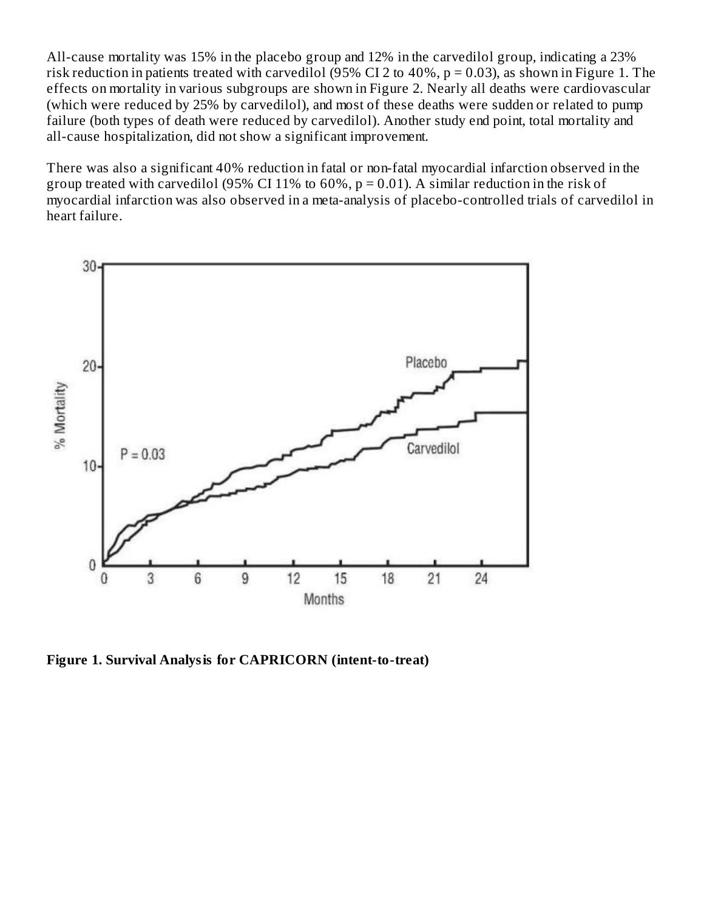All-cause mortality was 15% in the placebo group and 12% in the carvedilol group, indicating a 23% risk reduction in patients treated with carvedilol (95% CI 2 to 40%,  $p = 0.03$ ), as shown in Figure 1. The effects on mortality in various subgroups are shown in Figure 2. Nearly all deaths were cardiovascular (which were reduced by 25% by carvedilol), and most of these deaths were sudden or related to pump failure (both types of death were reduced by carvedilol). Another study end point, total mortality and all-cause hospitalization, did not show a significant improvement.

There was also a significant 40% reduction in fatal or non-fatal myocardial infarction observed in the group treated with carvedilol (95% CI 11% to  $60\%$ , p = 0.01). A similar reduction in the risk of myocardial infarction was also observed in a meta-analysis of placebo-controlled trials of carvedilol in heart failure.



**Figure 1. Survival Analysis for CAPRICORN (intent-to-treat)**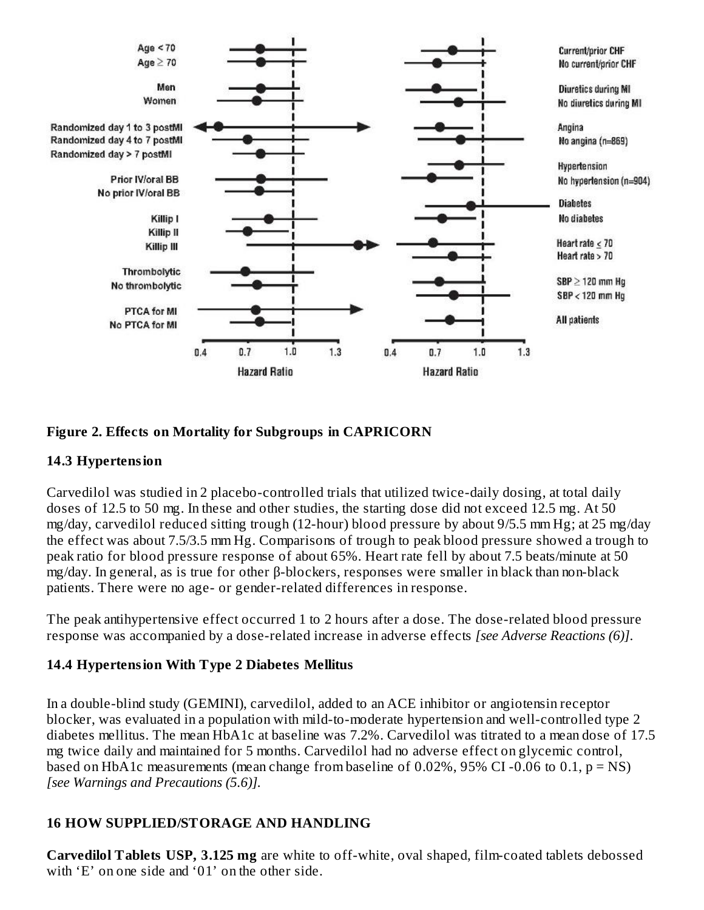

#### **Figure 2. Effects on Mortality for Subgroups in CAPRICORN**

#### **14.3 Hypertension**

Carvedilol was studied in 2 placebo-controlled trials that utilized twice-daily dosing, at total daily doses of 12.5 to 50 mg. In these and other studies, the starting dose did not exceed 12.5 mg. At 50 mg/day, carvedilol reduced sitting trough (12-hour) blood pressure by about 9/5.5 mm Hg; at 25 mg/day the effect was about 7.5/3.5 mm Hg. Comparisons of trough to peak blood pressure showed a trough to peak ratio for blood pressure response of about 65%. Heart rate fell by about 7.5 beats/minute at 50 mg/day. In general, as is true for other β-blockers, responses were smaller in black than non-black patients. There were no age- or gender-related differences in response.

The peak antihypertensive effect occurred 1 to 2 hours after a dose. The dose-related blood pressure response was accompanied by a dose-related increase in adverse effects *[see Adverse Reactions (6)]*.

#### **14.4 Hypertension With Type 2 Diabetes Mellitus**

In a double-blind study (GEMINI), carvedilol, added to an ACE inhibitor or angiotensin receptor blocker, was evaluated in a population with mild-to-moderate hypertension and well-controlled type 2 diabetes mellitus. The mean HbA1c at baseline was 7.2%. Carvedilol was titrated to a mean dose of 17.5 mg twice daily and maintained for 5 months. Carvedilol had no adverse effect on glycemic control, based on HbA1c measurements (mean change from baseline of  $0.02\%$ , 95% CI-0.06 to 0.1, p = NS) *[see Warnings and Precautions (5.6)].*

## **16 HOW SUPPLIED/STORAGE AND HANDLING**

**Carvedilol Tablets USP, 3.125 mg** are white to off-white, oval shaped, film-coated tablets debossed with 'E' on one side and '01' on the other side.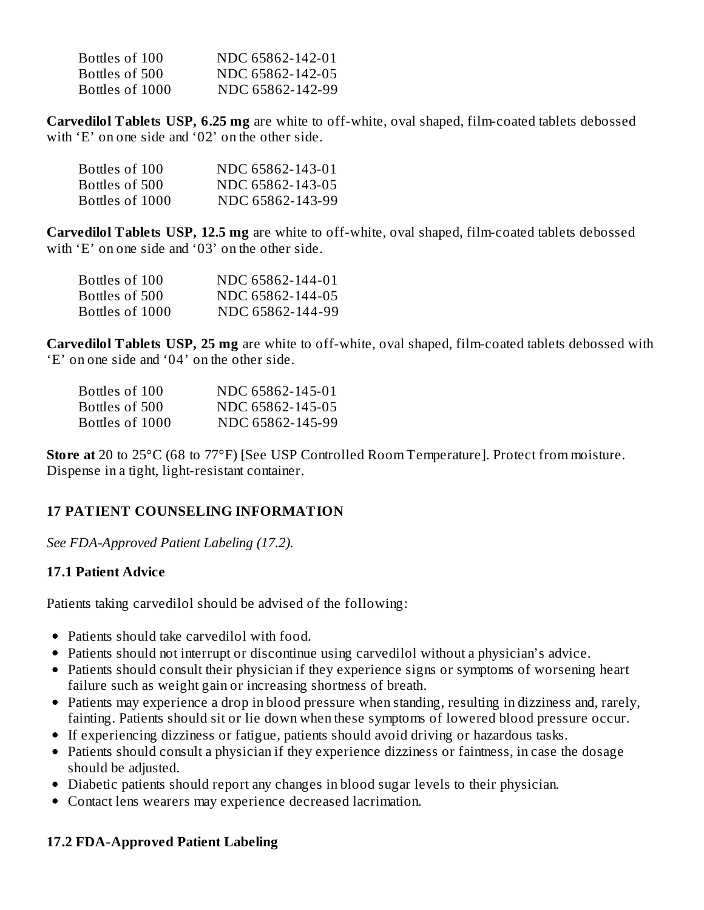| Bottles of 100  | NDC 65862-142-01 |
|-----------------|------------------|
| Bottles of 500  | NDC 65862-142-05 |
| Bottles of 1000 | NDC 65862-142-99 |

**Carvedilol Tablets USP, 6.25 mg** are white to off-white, oval shaped, film-coated tablets debossed with 'E' on one side and '02' on the other side.

| Bottles of 100  | NDC 65862-143-01 |
|-----------------|------------------|
| Bottles of 500  | NDC 65862-143-05 |
| Bottles of 1000 | NDC 65862-143-99 |

**Carvedilol Tablets USP, 12.5 mg** are white to off-white, oval shaped, film-coated tablets debossed with 'E' on one side and '03' on the other side.

| Bottles of 100  | NDC 65862-144-01 |
|-----------------|------------------|
| Bottles of 500  | NDC 65862-144-05 |
| Bottles of 1000 | NDC 65862-144-99 |

**Carvedilol Tablets USP, 25 mg** are white to off-white, oval shaped, film-coated tablets debossed with 'E' on one side and '04' on the other side.

| Bottles of 100  | NDC 65862-145-01 |
|-----------------|------------------|
| Bottles of 500  | NDC 65862-145-05 |
| Bottles of 1000 | NDC 65862-145-99 |

**Store at** 20 to 25°C (68 to 77°F) [See USP Controlled Room Temperature]. Protect from moisture. Dispense in a tight, light-resistant container.

## **17 PATIENT COUNSELING INFORMATION**

*See FDA-Approved Patient Labeling (17.2).*

#### **17.1 Patient Advice**

Patients taking carvedilol should be advised of the following:

- Patients should take carvedilol with food.
- Patients should not interrupt or discontinue using carvedilol without a physician's advice.
- Patients should consult their physician if they experience signs or symptoms of worsening heart failure such as weight gain or increasing shortness of breath.
- Patients may experience a drop in blood pressure when standing, resulting in dizziness and, rarely, fainting. Patients should sit or lie down when these symptoms of lowered blood pressure occur.
- If experiencing dizziness or fatigue, patients should avoid driving or hazardous tasks.
- Patients should consult a physician if they experience dizziness or faintness, in case the dosage should be adjusted.
- Diabetic patients should report any changes in blood sugar levels to their physician.
- Contact lens wearers may experience decreased lacrimation.

## **17.2 FDA-Approved Patient Labeling**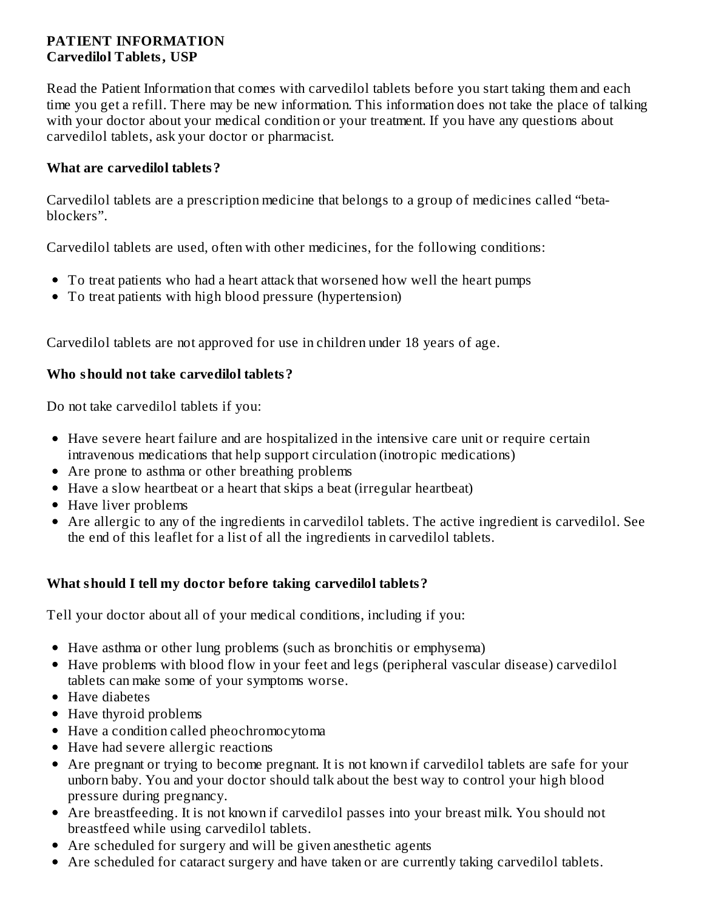## **PATIENT INFORMATION Carvedilol Tablets, USP**

Read the Patient Information that comes with carvedilol tablets before you start taking them and each time you get a refill. There may be new information. This information does not take the place of talking with your doctor about your medical condition or your treatment. If you have any questions about carvedilol tablets, ask your doctor or pharmacist.

## **What are carvedilol tablets?**

Carvedilol tablets are a prescription medicine that belongs to a group of medicines called "betablockers".

Carvedilol tablets are used, often with other medicines, for the following conditions:

- To treat patients who had a heart attack that worsened how well the heart pumps
- To treat patients with high blood pressure (hypertension)

Carvedilol tablets are not approved for use in children under 18 years of age.

## **Who should not take carvedilol tablets?**

Do not take carvedilol tablets if you:

- Have severe heart failure and are hospitalized in the intensive care unit or require certain intravenous medications that help support circulation (inotropic medications)
- Are prone to asthma or other breathing problems
- Have a slow heartbeat or a heart that skips a beat (irregular heartbeat)
- Have liver problems
- Are allergic to any of the ingredients in carvedilol tablets. The active ingredient is carvedilol. See the end of this leaflet for a list of all the ingredients in carvedilol tablets.

## **What should I tell my doctor before taking carvedilol tablets?**

Tell your doctor about all of your medical conditions, including if you:

- Have asthma or other lung problems (such as bronchitis or emphysema)
- Have problems with blood flow in your feet and legs (peripheral vascular disease) carvedilol tablets can make some of your symptoms worse.
- Have diabetes
- Have thyroid problems
- Have a condition called pheochromocytoma
- Have had severe allergic reactions
- Are pregnant or trying to become pregnant. It is not known if carvedilol tablets are safe for your unborn baby. You and your doctor should talk about the best way to control your high blood pressure during pregnancy.
- Are breastfeeding. It is not known if carvedilol passes into your breast milk. You should not breastfeed while using carvedilol tablets.
- Are scheduled for surgery and will be given anesthetic agents
- Are scheduled for cataract surgery and have taken or are currently taking carvedilol tablets.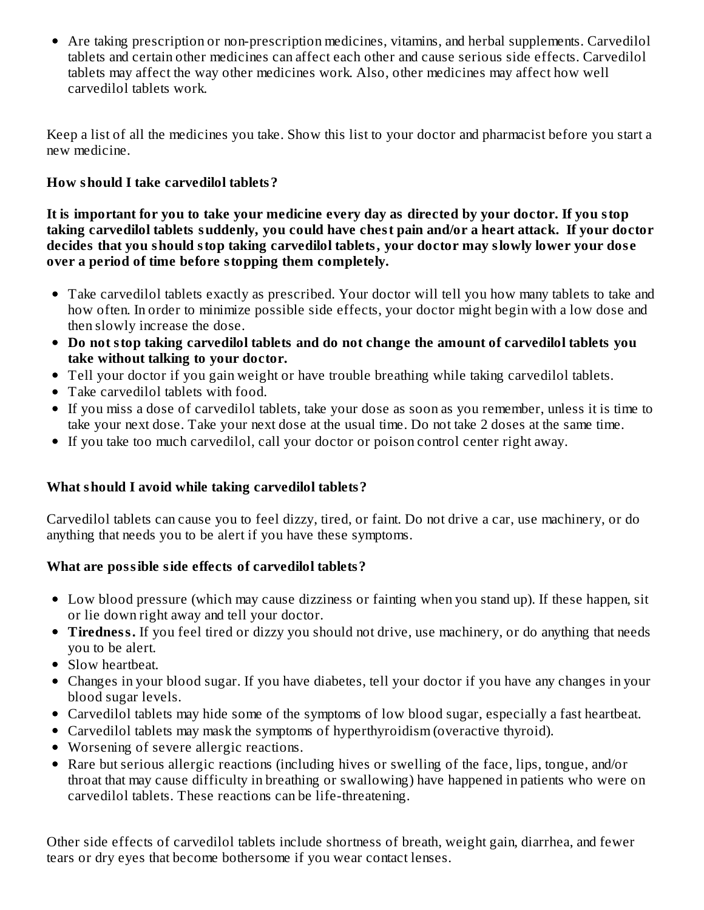Are taking prescription or non-prescription medicines, vitamins, and herbal supplements. Carvedilol tablets and certain other medicines can affect each other and cause serious side effects. Carvedilol tablets may affect the way other medicines work. Also, other medicines may affect how well carvedilol tablets work.

Keep a list of all the medicines you take. Show this list to your doctor and pharmacist before you start a new medicine.

## **How should I take carvedilol tablets?**

It is important for you to take your medicine every day as directed by your doctor. If you stop **taking carvedilol tablets suddenly, you could have chest pain and/or a heart attack. If your doctor decides that you should stop taking carvedilol tablets, your doctor may slowly lower your dos e over a period of time before stopping them completely.**

- Take carvedilol tablets exactly as prescribed. Your doctor will tell you how many tablets to take and how often. In order to minimize possible side effects, your doctor might begin with a low dose and then slowly increase the dose.
- **Do not stop taking carvedilol tablets and do not change the amount of carvedilol tablets you take without talking to your doctor.**
- Tell your doctor if you gain weight or have trouble breathing while taking carvedilol tablets.
- Take carvedilol tablets with food.
- If you miss a dose of carvedilol tablets, take your dose as soon as you remember, unless it is time to take your next dose. Take your next dose at the usual time. Do not take 2 doses at the same time.
- If you take too much carvedilol, call your doctor or poison control center right away.

## **What should I avoid while taking carvedilol tablets?**

Carvedilol tablets can cause you to feel dizzy, tired, or faint. Do not drive a car, use machinery, or do anything that needs you to be alert if you have these symptoms.

## **What are possible side effects of carvedilol tablets?**

- Low blood pressure (which may cause dizziness or fainting when you stand up). If these happen, sit or lie down right away and tell your doctor.
- **Tiredness.** If you feel tired or dizzy you should not drive, use machinery, or do anything that needs you to be alert.
- Slow heartbeat.
- Changes in your blood sugar. If you have diabetes, tell your doctor if you have any changes in your blood sugar levels.
- Carvedilol tablets may hide some of the symptoms of low blood sugar, especially a fast heartbeat.
- Carvedilol tablets may mask the symptoms of hyperthyroidism (overactive thyroid).
- Worsening of severe allergic reactions.
- Rare but serious allergic reactions (including hives or swelling of the face, lips, tongue, and/or throat that may cause difficulty in breathing or swallowing) have happened in patients who were on carvedilol tablets. These reactions can be life-threatening.

Other side effects of carvedilol tablets include shortness of breath, weight gain, diarrhea, and fewer tears or dry eyes that become bothersome if you wear contact lenses.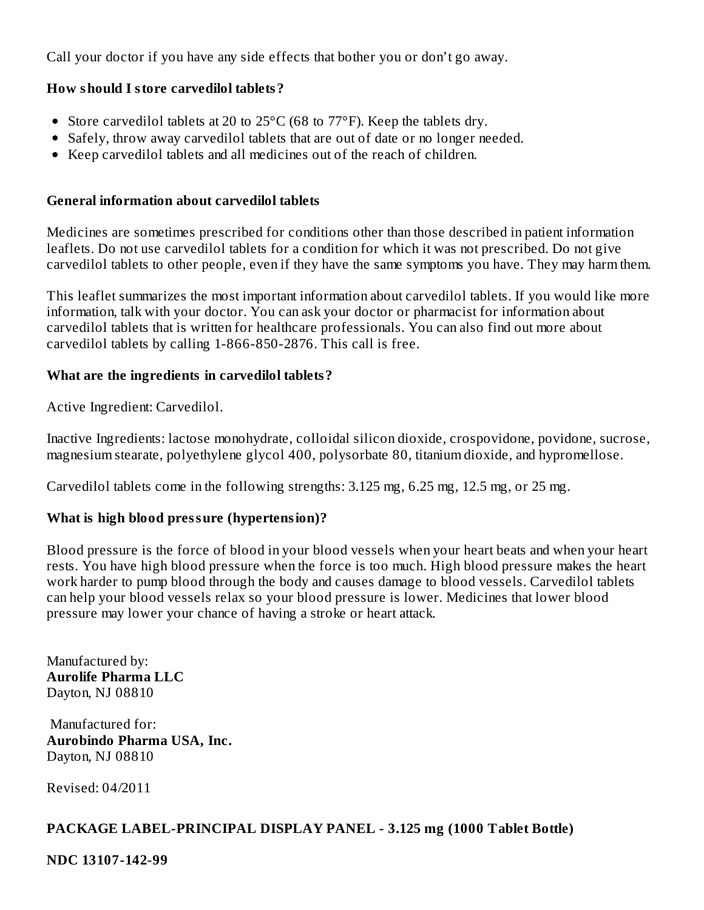Call your doctor if you have any side effects that bother you or don't go away.

## **How should I store carvedilol tablets?**

- Store carvedilol tablets at 20 to 25°C (68 to 77°F). Keep the tablets dry.
- Safely, throw away carvedilol tablets that are out of date or no longer needed.
- Keep carvedilol tablets and all medicines out of the reach of children.

#### **General information about carvedilol tablets**

Medicines are sometimes prescribed for conditions other than those described in patient information leaflets. Do not use carvedilol tablets for a condition for which it was not prescribed. Do not give carvedilol tablets to other people, even if they have the same symptoms you have. They may harm them.

This leaflet summarizes the most important information about carvedilol tablets. If you would like more information, talk with your doctor. You can ask your doctor or pharmacist for information about carvedilol tablets that is written for healthcare professionals. You can also find out more about carvedilol tablets by calling 1-866-850-2876. This call is free.

## **What are the ingredients in carvedilol tablets?**

Active Ingredient: Carvedilol.

Inactive Ingredients: lactose monohydrate, colloidal silicon dioxide, crospovidone, povidone, sucrose, magnesium stearate, polyethylene glycol 400, polysorbate 80, titanium dioxide, and hypromellose.

Carvedilol tablets come in the following strengths: 3.125 mg, 6.25 mg, 12.5 mg, or 25 mg.

## **What is high blood pressure (hypertension)?**

Blood pressure is the force of blood in your blood vessels when your heart beats and when your heart rests. You have high blood pressure when the force is too much. High blood pressure makes the heart work harder to pump blood through the body and causes damage to blood vessels. Carvedilol tablets can help your blood vessels relax so your blood pressure is lower. Medicines that lower blood pressure may lower your chance of having a stroke or heart attack.

Manufactured by: **Aurolife Pharma LLC** Dayton, NJ 08810

Manufactured for: **Aurobindo Pharma USA, Inc.** Dayton, NJ 08810

Revised: 04/2011

## **PACKAGE LABEL-PRINCIPAL DISPLAY PANEL - 3.125 mg (1000 Tablet Bottle)**

**NDC 13107-142-99**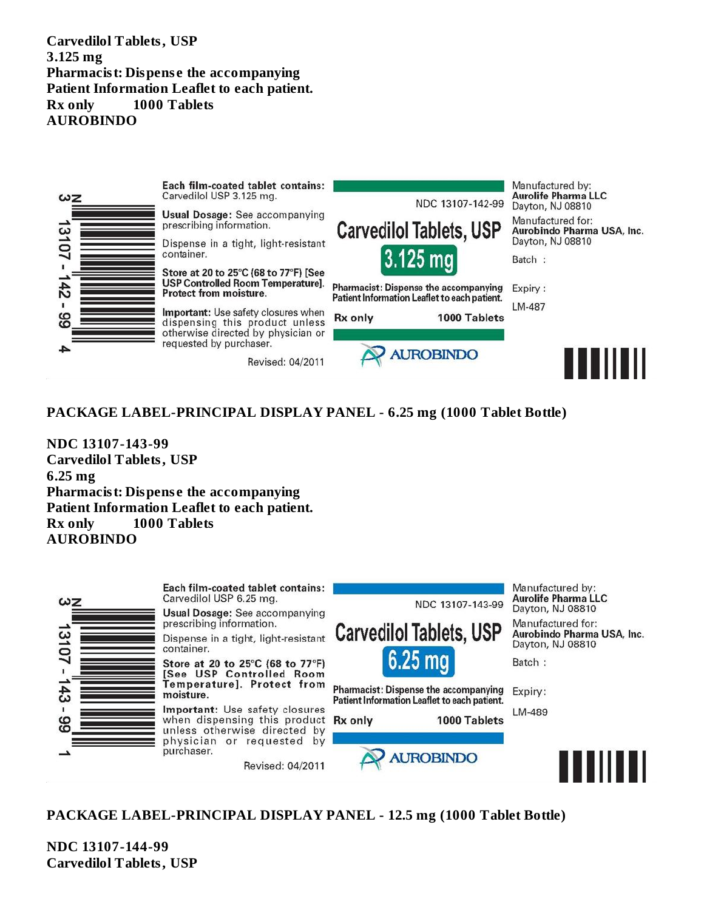**Carvedilol Tablets, USP 3.125 mg Pharmacist: Dispens e the accompanying Patient Information Leaflet to each patient. Rx only 1000 Tablets AUROBINDO**



#### **PACKAGE LABEL-PRINCIPAL DISPLAY PANEL - 6.25 mg (1000 Tablet Bottle)**

**NDC 13107-143-99 Carvedilol Tablets, USP 6.25 mg Pharmacist: Dispens e the accompanying Patient Information Leaflet to each patient. Rx only 1000 Tablets AUROBINDO**



#### **PACKAGE LABEL-PRINCIPAL DISPLAY PANEL - 12.5 mg (1000 Tablet Bottle)**

**NDC 13107-144-99 Carvedilol Tablets, USP**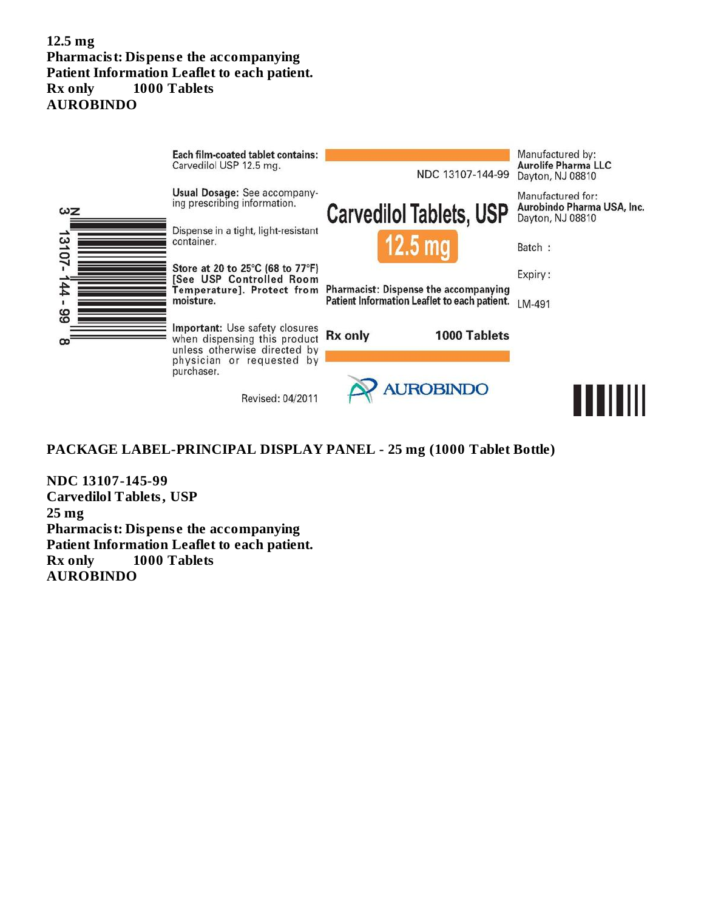#### **12.5 mg Pharmacist: Dispens e the accompanying Patient Information Leaflet to each patient. Rx only 1000 Tablets AUROBINDO**



#### **PACKAGE LABEL-PRINCIPAL DISPLAY PANEL - 25 mg (1000 Tablet Bottle)**

**NDC 13107-145-99 Carvedilol Tablets, USP 25 mg Pharmacist: Dispens e the accompanying Patient Information Leaflet to each patient. Rx only 1000 Tablets AUROBINDO**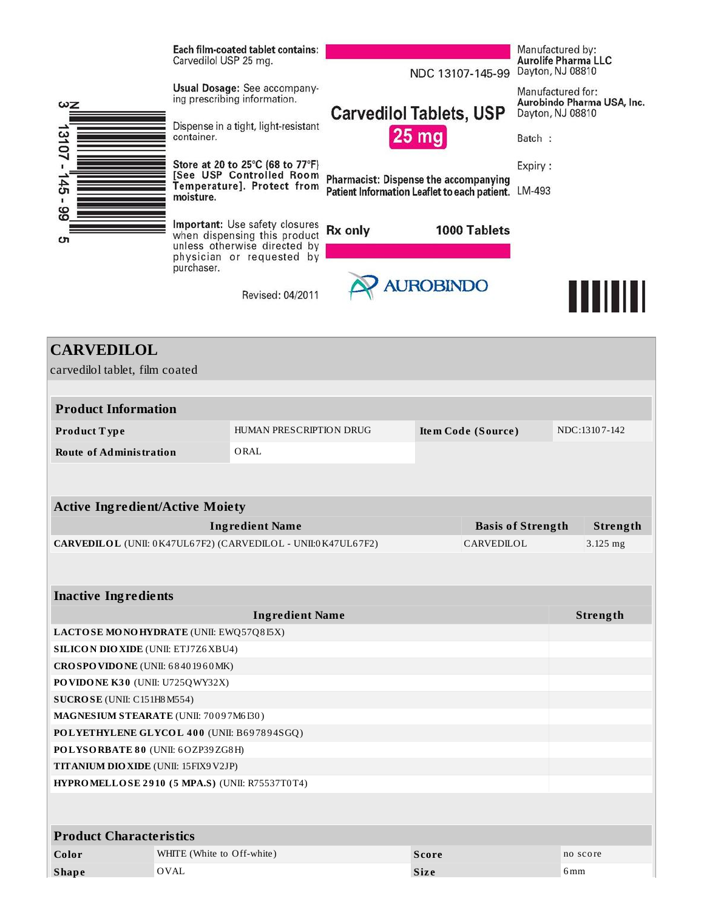|                                                     | Each film-coated tablet contains:<br>Carvedilol USP 25 mg.                                                                  | NDC 13107-145-99                                                                             | Manufactured by:<br><b>Aurolife Pharma LLC</b><br>Dayton, NJ 08810  |
|-----------------------------------------------------|-----------------------------------------------------------------------------------------------------------------------------|----------------------------------------------------------------------------------------------|---------------------------------------------------------------------|
| ωΖ                                                  | Usual Dosage: See accompany-<br>ing prescribing information.                                                                | <b>Carvedilol Tablets, USP</b>                                                               | Manufactured for:<br>Aurobindo Pharma USA, Inc.<br>Dayton, NJ 08810 |
| ∸<br>13107                                          | Dispense in a tight, light-resistant<br>container.                                                                          | <b>25 mg</b>                                                                                 | Batch:                                                              |
|                                                     | Store at 20 to 25°C (68 to 77°F)<br>See USP Controlled Room                                                                 |                                                                                              | Expiry:                                                             |
| 45                                                  | Temperature]. Protect from<br>moisture.                                                                                     | <b>Pharmacist: Dispense the accompanying</b><br>Patient Information Leaflet to each patient. | LM-493                                                              |
| 66<br>c                                             | Important: Use safety closures<br>when dispensing this product<br>unless otherwise directed by<br>physician or requested by | <b>Rx</b> only<br>1000 Tablets                                                               |                                                                     |
|                                                     | purchaser.<br>Revised: 04/2011                                                                                              | <b>AUROBINDO</b>                                                                             | Ш                                                                   |
| <b>CARVEDILOL</b><br>carvedilol tablet, film coated |                                                                                                                             |                                                                                              |                                                                     |

| <b>Product Information</b>                                                 |                         |  |                          |  |               |
|----------------------------------------------------------------------------|-------------------------|--|--------------------------|--|---------------|
| Product Type                                                               | HUMAN PRESCRIPTION DRUG |  | Item Code (Source)       |  | NDC:13107-142 |
| <b>Route of Administration</b>                                             | ORAL                    |  |                          |  |               |
|                                                                            |                         |  |                          |  |               |
|                                                                            |                         |  |                          |  |               |
| <b>Active Ingredient/Active Moiety</b>                                     |                         |  |                          |  |               |
|                                                                            | <b>Ingredient Name</b>  |  | <b>Basis of Strength</b> |  | Strength      |
| CARVEDILOL (UNII: 0K47UL67F2) (CARVEDILOL - UNII:0K47UL67F2)<br>CARVEDILOL |                         |  |                          |  | $3.125$ mg    |
|                                                                            |                         |  |                          |  |               |
| <b>Inactive Ingredients</b>                                                |                         |  |                          |  |               |
|                                                                            | <b>Ingredient Name</b>  |  |                          |  | Strength      |
| LACTOSE MONOHYDRATE (UNII: EWQ57Q8I5X)                                     |                         |  |                          |  |               |
| <b>SILICON DIO XIDE (UNII: ETJ7Z6XBU4)</b>                                 |                         |  |                          |  |               |
| CROSPOVIDONE (UNII: 68401960MK)                                            |                         |  |                          |  |               |
| PO VIDO NE K30 (UNII: U725QWY32X)                                          |                         |  |                          |  |               |
| SUCROSE (UNII: C151H8 M554)                                                |                         |  |                          |  |               |
| MAGNESIUM STEARATE (UNII: 70097M6I30)                                      |                         |  |                          |  |               |
| POLYETHYLENE GLYCOL 400 (UNII: B697894SGQ)                                 |                         |  |                          |  |               |

**POLYSORBATE 8 0** (UNII: 6OZP39ZG8H)

**TITANIUM DIOXIDE** (UNII: 15FIX9V2JP)

**HYPROMELLOSE 2 9 10 ( 5 MPA.S)** (UNII: R75537T0T4)

| <b>Product Characteristics</b> |                            |             |          |
|--------------------------------|----------------------------|-------------|----------|
| Color                          | WHITE (White to Off-white) | Score       | no score |
| <b>Shape</b>                   | OVAL '                     | <b>Size</b> | 6mm      |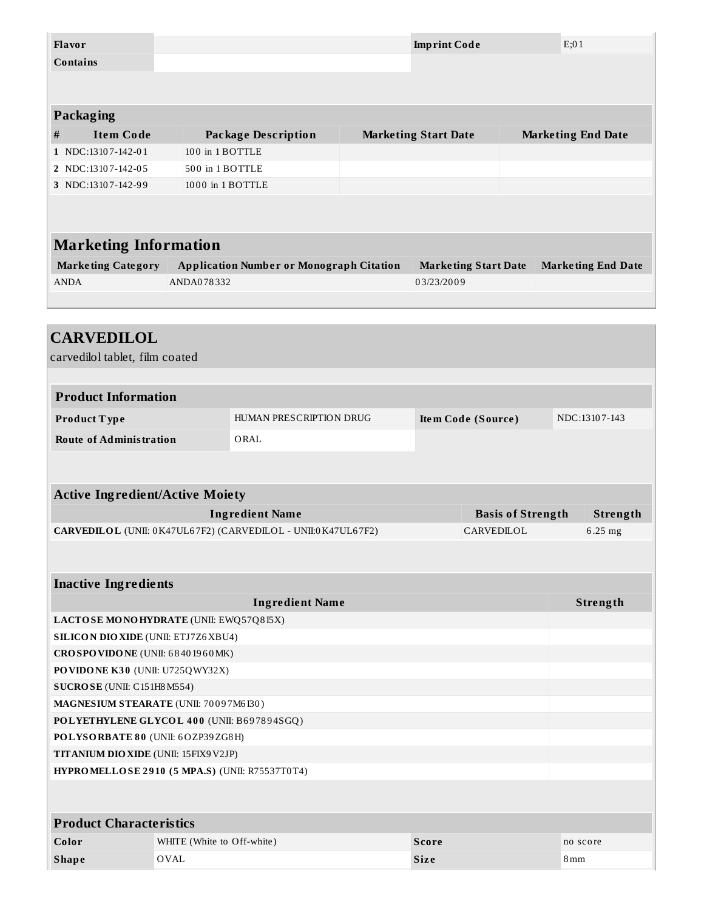| Flavor      |                                                |  |                            |                                                              |                    |                             |            |                          | E:01          |                           |
|-------------|------------------------------------------------|--|----------------------------|--------------------------------------------------------------|--------------------|-----------------------------|------------|--------------------------|---------------|---------------------------|
|             | <b>Imprint Code</b><br><b>Contains</b>         |  |                            |                                                              |                    |                             |            |                          |               |                           |
|             |                                                |  |                            |                                                              |                    |                             |            |                          |               |                           |
|             |                                                |  |                            |                                                              |                    |                             |            |                          |               |                           |
|             | Packaging                                      |  |                            |                                                              |                    |                             |            |                          |               |                           |
| #           | <b>Item Code</b>                               |  |                            | <b>Package Description</b>                                   |                    | <b>Marketing Start Date</b> |            |                          |               | <b>Marketing End Date</b> |
|             | 1 NDC:13107-142-01                             |  | 100 in 1 BOTTLE            |                                                              |                    |                             |            |                          |               |                           |
|             | 2 NDC:13107-142-05                             |  | 500 in 1 BOTTLE            |                                                              |                    |                             |            |                          |               |                           |
|             | 3 NDC:13107-142-99                             |  | 1000 in 1 BOTTLE           |                                                              |                    |                             |            |                          |               |                           |
|             |                                                |  |                            |                                                              |                    |                             |            |                          |               |                           |
|             |                                                |  |                            |                                                              |                    |                             |            |                          |               |                           |
|             | <b>Marketing Information</b>                   |  |                            |                                                              |                    |                             |            |                          |               |                           |
|             | <b>Marketing Category</b>                      |  |                            | <b>Application Number or Monograph Citation</b>              |                    | <b>Marketing Start Date</b> |            |                          |               | <b>Marketing End Date</b> |
| <b>ANDA</b> |                                                |  | ANDA078332                 |                                                              |                    | 03/23/2009                  |            |                          |               |                           |
|             |                                                |  |                            |                                                              |                    |                             |            |                          |               |                           |
|             |                                                |  |                            |                                                              |                    |                             |            |                          |               |                           |
|             | <b>CARVEDILOL</b>                              |  |                            |                                                              |                    |                             |            |                          |               |                           |
|             | carvedilol tablet, film coated                 |  |                            |                                                              |                    |                             |            |                          |               |                           |
|             |                                                |  |                            |                                                              |                    |                             |            |                          |               |                           |
|             |                                                |  |                            |                                                              |                    |                             |            |                          |               |                           |
|             | <b>Product Information</b>                     |  |                            |                                                              |                    |                             |            |                          |               |                           |
|             | Product Type                                   |  |                            | HUMAN PRESCRIPTION DRUG                                      | Item Code (Source) |                             |            |                          | NDC:13107-143 |                           |
|             | <b>Route of Administration</b>                 |  |                            | ORAL                                                         |                    |                             |            |                          |               |                           |
|             |                                                |  |                            |                                                              |                    |                             |            |                          |               |                           |
|             |                                                |  |                            |                                                              |                    |                             |            |                          |               |                           |
|             | <b>Active Ingredient/Active Moiety</b>         |  |                            |                                                              |                    |                             |            |                          |               |                           |
|             |                                                |  |                            | <b>Ingredient Name</b>                                       |                    |                             |            | <b>Basis of Strength</b> |               | Strength                  |
|             |                                                |  |                            | CARVEDILOL (UNII: 0K47UL67F2) (CARVEDILOL - UNII:0K47UL67F2) |                    |                             | CARVEDILOL |                          |               | 6.25 mg                   |
|             |                                                |  |                            |                                                              |                    |                             |            |                          |               |                           |
|             |                                                |  |                            |                                                              |                    |                             |            |                          |               |                           |
|             | <b>Inactive Ingredients</b>                    |  |                            |                                                              |                    |                             |            |                          |               |                           |
|             |                                                |  |                            | <b>Ingredient Name</b>                                       |                    |                             |            |                          |               | Strength                  |
|             | LACTOSE MONOHYDRATE (UNII: EWQ57Q8I5X)         |  |                            |                                                              |                    |                             |            |                          |               |                           |
|             | <b>SILICON DIO XIDE (UNII: ETJ7Z6 XBU4)</b>    |  |                            |                                                              |                    |                             |            |                          |               |                           |
|             | CROSPOVIDONE (UNII: 68401960MK)                |  |                            |                                                              |                    |                             |            |                          |               |                           |
|             | PO VIDO NE K30 (UNII: U725QWY32X)              |  |                            |                                                              |                    |                             |            |                          |               |                           |
|             | SUCROSE (UNII: C151H8 M554)                    |  |                            |                                                              |                    |                             |            |                          |               |                           |
|             | MAGNESIUM STEARATE (UNII: 70097M6I30)          |  |                            |                                                              |                    |                             |            |                          |               |                           |
|             | POLYETHYLENE GLYCOL 400 (UNII: B697894SGQ)     |  |                            |                                                              |                    |                             |            |                          |               |                           |
|             | POLYSORBATE 80 (UNII: 6OZP39ZG8H)              |  |                            |                                                              |                    |                             |            |                          |               |                           |
|             | <b>TITANIUM DIO XIDE (UNII: 15FIX9V2JP)</b>    |  |                            |                                                              |                    |                             |            |                          |               |                           |
|             | HYPROMELLOSE 2910 (5 MPA.S) (UNII: R75537T0T4) |  |                            |                                                              |                    |                             |            |                          |               |                           |
|             |                                                |  |                            |                                                              |                    |                             |            |                          |               |                           |
|             |                                                |  |                            |                                                              |                    |                             |            |                          |               |                           |
|             | <b>Product Characteristics</b>                 |  |                            |                                                              |                    |                             |            |                          |               |                           |
| Color       |                                                |  | WHITE (White to Off-white) |                                                              |                    | <b>Score</b>                |            |                          |               | no score                  |

**Shape** OVAL **Siz e** 8mm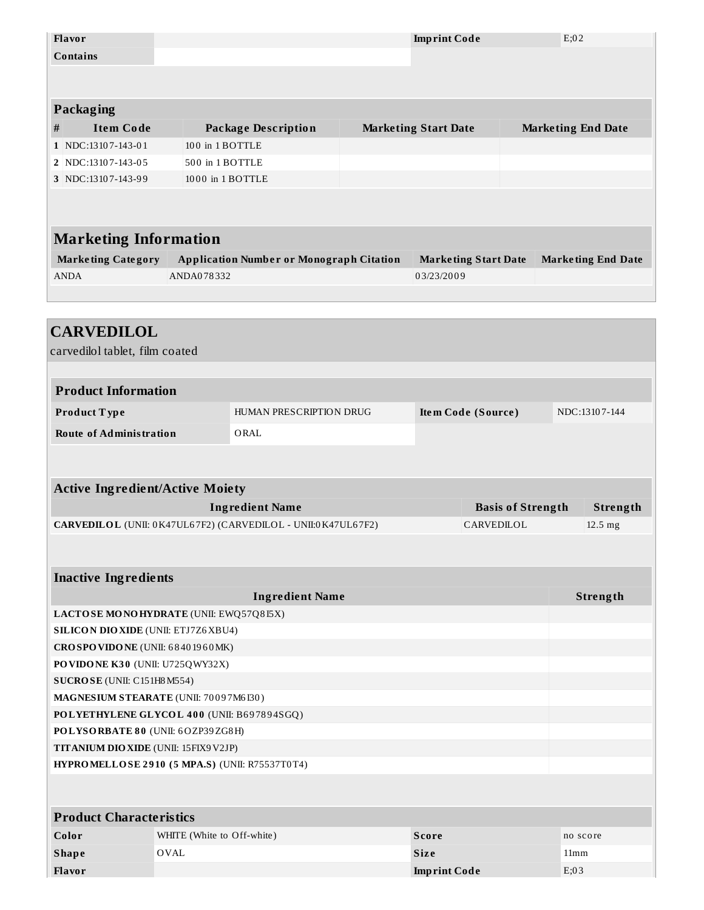| Flavor                                         |                            |                                                              |  | <b>Imprint Code</b>         |                          | E;02                      |  |
|------------------------------------------------|----------------------------|--------------------------------------------------------------|--|-----------------------------|--------------------------|---------------------------|--|
| <b>Contains</b>                                |                            |                                                              |  |                             |                          |                           |  |
|                                                |                            |                                                              |  |                             |                          |                           |  |
|                                                |                            |                                                              |  |                             |                          |                           |  |
| Packaging                                      |                            |                                                              |  |                             |                          |                           |  |
| <b>Item Code</b><br>#                          |                            | <b>Package Description</b>                                   |  | <b>Marketing Start Date</b> |                          | <b>Marketing End Date</b> |  |
| 1 NDC:13107-143-01                             | 100 in 1 BOTTLE            |                                                              |  |                             |                          |                           |  |
| 2 NDC:13107-143-05                             | 500 in 1 BOTTLE            |                                                              |  |                             |                          |                           |  |
| 3 NDC:13107-143-99                             | 1000 in 1 BOTTLE           |                                                              |  |                             |                          |                           |  |
|                                                |                            |                                                              |  |                             |                          |                           |  |
|                                                |                            |                                                              |  |                             |                          |                           |  |
| <b>Marketing Information</b>                   |                            |                                                              |  |                             |                          |                           |  |
| <b>Marketing Category</b>                      |                            | <b>Application Number or Monograph Citation</b>              |  | <b>Marketing Start Date</b> |                          | <b>Marketing End Date</b> |  |
| <b>ANDA</b>                                    | ANDA078332                 |                                                              |  | 03/23/2009                  |                          |                           |  |
|                                                |                            |                                                              |  |                             |                          |                           |  |
|                                                |                            |                                                              |  |                             |                          |                           |  |
| <b>CARVEDILOL</b>                              |                            |                                                              |  |                             |                          |                           |  |
|                                                |                            |                                                              |  |                             |                          |                           |  |
| carvedilol tablet, film coated                 |                            |                                                              |  |                             |                          |                           |  |
|                                                |                            |                                                              |  |                             |                          |                           |  |
| <b>Product Information</b>                     |                            |                                                              |  |                             |                          |                           |  |
| Product Type                                   |                            | HUMAN PRESCRIPTION DRUG                                      |  | Item Code (Source)          |                          | NDC:13107-144             |  |
| <b>Route of Administration</b>                 |                            | ORAL                                                         |  |                             |                          |                           |  |
|                                                |                            |                                                              |  |                             |                          |                           |  |
|                                                |                            |                                                              |  |                             |                          |                           |  |
| <b>Active Ingredient/Active Moiety</b>         |                            |                                                              |  |                             |                          |                           |  |
|                                                |                            | <b>Ingredient Name</b>                                       |  |                             | <b>Basis of Strength</b> | Strength                  |  |
|                                                |                            | CARVEDILOL (UNII: 0K47UL67F2) (CARVEDILOL - UNII:0K47UL67F2) |  |                             | CARVEDILOL               | 12.5 mg                   |  |
|                                                |                            |                                                              |  |                             |                          |                           |  |
|                                                |                            |                                                              |  |                             |                          |                           |  |
| <b>Inactive Ingredients</b>                    |                            |                                                              |  |                             |                          |                           |  |
|                                                |                            | <b>Ingredient Name</b>                                       |  |                             |                          | Strength                  |  |
| LACTOSE MONOHYDRATE (UNII: EWQ57Q8I5X)         |                            |                                                              |  |                             |                          |                           |  |
| <b>SILICON DIO XIDE (UNII: ETJ7Z6 XBU4)</b>    |                            |                                                              |  |                             |                          |                           |  |
| CROSPOVIDONE (UNII: 68401960MK)                |                            |                                                              |  |                             |                          |                           |  |
| PO VIDONE K30 (UNII: U725QWY32X)               |                            |                                                              |  |                             |                          |                           |  |
| SUCROSE (UNII: C151H8M554)                     |                            |                                                              |  |                             |                          |                           |  |
| MAGNESIUM STEARATE (UNII: 70097M6I30)          |                            |                                                              |  |                             |                          |                           |  |
| POLYETHYLENE GLYCOL 400 (UNII: B697894SGQ)     |                            |                                                              |  |                             |                          |                           |  |
| POLYSORBATE 80 (UNII: 6OZP39ZG8H)              |                            |                                                              |  |                             |                          |                           |  |
| <b>TITANIUM DIO XIDE (UNII: 15FIX9 V2JP)</b>   |                            |                                                              |  |                             |                          |                           |  |
| HYPROMELLOSE 2910 (5 MPA.S) (UNII: R75537T0T4) |                            |                                                              |  |                             |                          |                           |  |
|                                                |                            |                                                              |  |                             |                          |                           |  |
|                                                |                            |                                                              |  |                             |                          |                           |  |
| <b>Product Characteristics</b>                 |                            |                                                              |  |                             |                          |                           |  |
| Color                                          | WHITE (White to Off-white) |                                                              |  | <b>Score</b>                |                          | no score                  |  |
| <b>Shape</b>                                   | <b>OVAL</b>                |                                                              |  | <b>Size</b>                 |                          | 11mm                      |  |
| Flavor                                         |                            |                                                              |  | <b>Imprint Code</b>         |                          | E;03                      |  |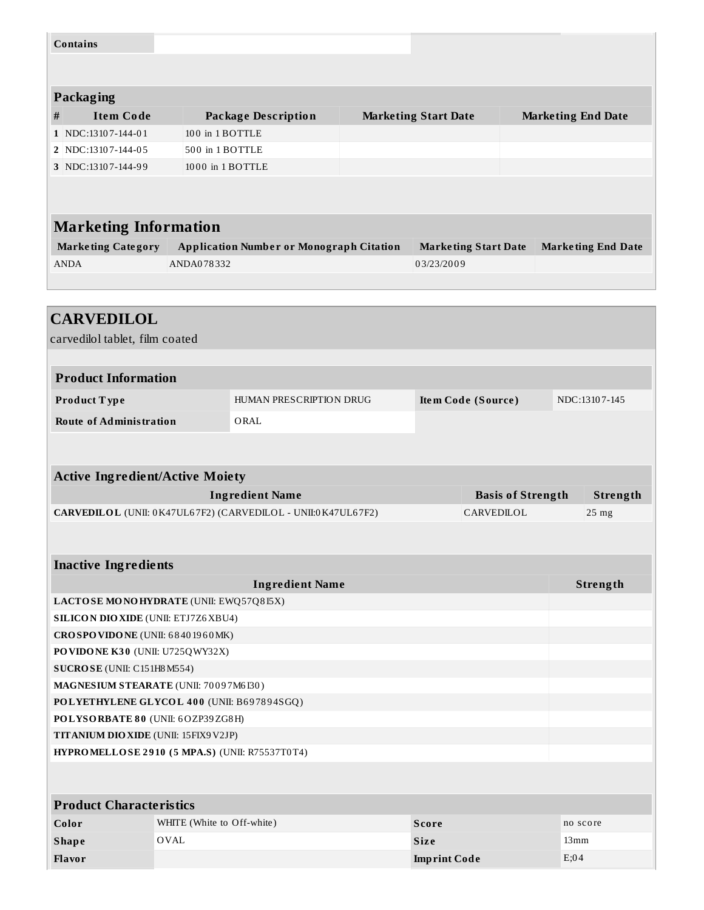|   | <b>Contains</b>                                                                                                                          |                  |                                                              |                             |  |                          |  |                           |
|---|------------------------------------------------------------------------------------------------------------------------------------------|------------------|--------------------------------------------------------------|-----------------------------|--|--------------------------|--|---------------------------|
|   |                                                                                                                                          |                  |                                                              |                             |  |                          |  |                           |
|   | Packaging                                                                                                                                |                  |                                                              |                             |  |                          |  |                           |
| # | <b>Item Code</b>                                                                                                                         |                  | <b>Package Description</b>                                   | <b>Marketing Start Date</b> |  |                          |  | <b>Marketing End Date</b> |
|   | 1 NDC:13107-144-01                                                                                                                       | 100 in 1 BOTTLE  |                                                              |                             |  |                          |  |                           |
|   | 2 NDC:13107-144-05                                                                                                                       | 500 in 1 BOTTLE  |                                                              |                             |  |                          |  |                           |
|   | 3 NDC:13107-144-99                                                                                                                       | 1000 in 1 BOTTLE |                                                              |                             |  |                          |  |                           |
|   |                                                                                                                                          |                  |                                                              |                             |  |                          |  |                           |
|   |                                                                                                                                          |                  |                                                              |                             |  |                          |  |                           |
|   | <b>Marketing Information</b>                                                                                                             |                  |                                                              |                             |  |                          |  |                           |
|   | <b>Marketing Category</b><br><b>Application Number or Monograph Citation</b><br><b>Marketing End Date</b><br><b>Marketing Start Date</b> |                  |                                                              |                             |  |                          |  |                           |
|   | <b>ANDA</b>                                                                                                                              | ANDA078332       |                                                              | 03/23/2009                  |  |                          |  |                           |
|   |                                                                                                                                          |                  |                                                              |                             |  |                          |  |                           |
|   |                                                                                                                                          |                  |                                                              |                             |  |                          |  |                           |
|   | <b>CARVEDILOL</b>                                                                                                                        |                  |                                                              |                             |  |                          |  |                           |
|   | carvedilol tablet, film coated                                                                                                           |                  |                                                              |                             |  |                          |  |                           |
|   |                                                                                                                                          |                  |                                                              |                             |  |                          |  |                           |
|   | <b>Product Information</b>                                                                                                               |                  |                                                              |                             |  |                          |  |                           |
|   | Product Type                                                                                                                             |                  | HUMAN PRESCRIPTION DRUG                                      |                             |  | Item Code (Source)       |  | NDC:13107-145             |
|   |                                                                                                                                          |                  |                                                              |                             |  |                          |  |                           |
|   | <b>Route of Administration</b>                                                                                                           |                  | ORAL                                                         |                             |  |                          |  |                           |
|   |                                                                                                                                          |                  |                                                              |                             |  |                          |  |                           |
|   |                                                                                                                                          |                  |                                                              |                             |  |                          |  |                           |
|   | <b>Active Ingredient/Active Moiety</b>                                                                                                   |                  |                                                              |                             |  |                          |  |                           |
|   |                                                                                                                                          |                  | <b>Ingredient Name</b>                                       |                             |  | <b>Basis of Strength</b> |  | Strength                  |
|   |                                                                                                                                          |                  | CARVEDILOL (UNII: 0K47UL67F2) (CARVEDILOL - UNII:0K47UL67F2) |                             |  | CARVEDILOL               |  |                           |

| <b>Ingredient Name</b>                                | Strength |
|-------------------------------------------------------|----------|
| LACTOSE MONOHYDRATE (UNII: EWQ57Q815X)                |          |
| <b>SILICON DIO XIDE (UNII: ETJ7Z6XBU4)</b>            |          |
| CROSPOVIDONE (UNII: 68401960MK)                       |          |
| PO VIDO NE K30 (UNII: U725QWY32X)                     |          |
| SUCROSE (UNII: C151H8 M554)                           |          |
| MAGNESIUM STEARATE (UNII: 70097M6I30)                 |          |
| POLYETHYLENE GLYCOL 400 (UNII: B697894SGQ)            |          |
| POLYSORBATE 80 (UNII: 6OZP39ZG8H)                     |          |
| <b>TITANIUM DIO XIDE (UNII: 15FIX9 V2JP)</b>          |          |
| <b>HYPROMELLOSE 2910 (5 MPA.S) (UNII: R75537T0T4)</b> |          |

| Product Characteristics |                            |                     |          |  |  |  |  |
|-------------------------|----------------------------|---------------------|----------|--|--|--|--|
| Color                   | WHITE (White to Off-white) | Score               | no score |  |  |  |  |
| Shape                   | OVAL                       | <b>Size</b>         | 13mm     |  |  |  |  |
| Flavor                  |                            | <b>Imprint Code</b> | E;04     |  |  |  |  |

٦